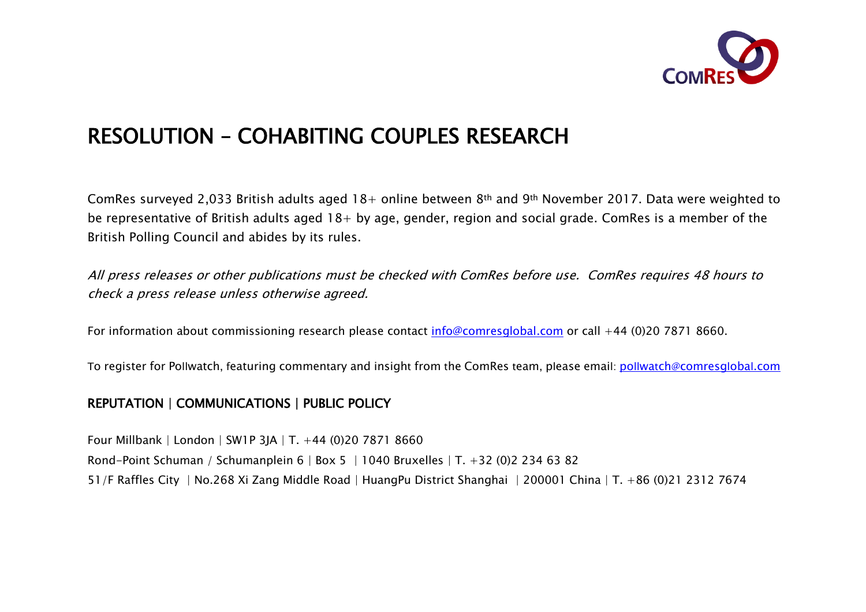

# RESOLUTION – COHABITING COUPLES RESEARCH

ComRes surveyed 2,033 British adults aged 18+ online between 8th and 9th November 2017. Data were weighted to be representative of British adults aged 18+ by age, gender, region and social grade. ComRes is a member of the British Polling Council and abides by its rules.

All press releases or other publications must be checked with ComRes before use. ComRes requires 48 hours to check a press release unless otherwise agreed.

For information about commissioning research please contact info@comresglobal.com or call +44 (0)20 7871 8660.

To register for Pollwatch, featuring commentary and insight from the ComRes team, please email: pollwatch@comresglobal.com

## REPUTATION | COMMUNICATIONS | PUBLIC POLICY

Four Millbank | London | SW1P 3JA | T. +44 (0)20 7871 8660 Rond-Point Schuman / Schumanplein 6 | Box 5 | 1040 Bruxelles | T. +32 (0)2 234 63 82 51/F Raffles City | No.268 Xi Zang Middle Road | HuangPu District Shanghai | 200001 China | T. +86 (0)21 2312 7674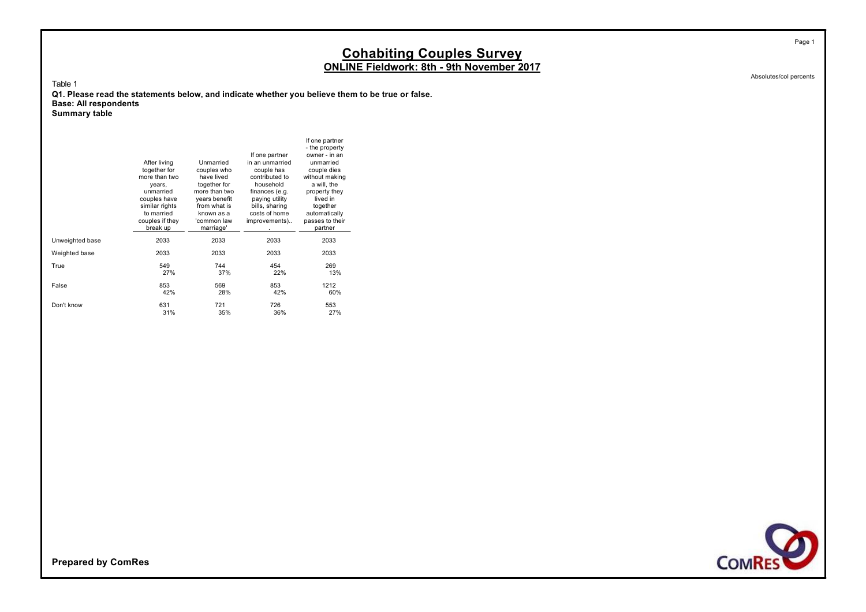Absolutes/col percents

Table 1

**Q1. Please read the statements below, and indicate whether you believe them to be true or false. Base: All respondents**

If one partner - the property If one partner owner - in an<br>in an unmarried unmarried After living Unmarried in an unmarried unmarried<br>together for couples who couple has couple dies together for couples who couple has couple dies<br>more than two have lived contributed to without making contributed to without making<br>household a will the years, together for household a will, the unmarried more than two finances (e.g. property they unmarried more than two finances (e.g. property the couples have years benefit paying utility lived in couples have years benefit paying utility ived in<br>similar rights from what is bills, sharing together similar rights from what is bills, sharing together<br>to married known as a costs of home automatically to married known as a costs of home automatically<br>couples if they 'common law improvements).. passes to their improvements).. break up marriage' https://www.partner Unweighted base 2033 2033 2033 2033 Weighted base 2033 2033 2033 2033 True 549 744 454 269 27% 37% 22% 13% False 853 569 853 1212 42% 28% 42% 60% Don't know 631 721 726 553 31% 35% 36% 27% **Summary table**

**COMRES** 

**Prepared by ComRes**



Page 1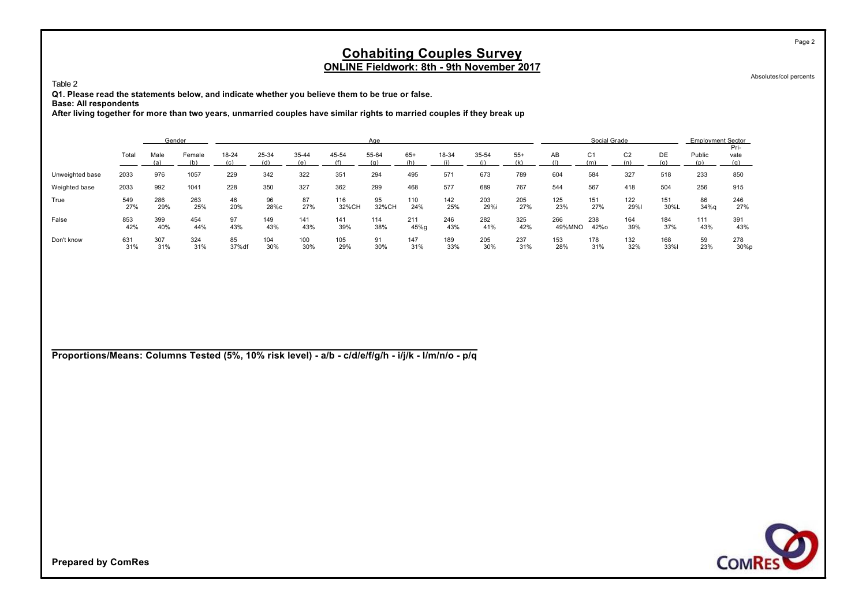Absolutes/col percents

Page 2

Table 2

**Q1. Please read the statements below, and indicate whether you believe them to be true or false.**

**Base: All respondents**

**After living together for more than two years, unmarried couples have similar rights to married couples if they break up**

|                 |            | Gender      |               |              |              |              |              | Age          |              |            |             |              |               | Social Grade          |                |             | <b>Employment Sector</b> |                |
|-----------------|------------|-------------|---------------|--------------|--------------|--------------|--------------|--------------|--------------|------------|-------------|--------------|---------------|-----------------------|----------------|-------------|--------------------------|----------------|
|                 | Total      | Male<br>(a) | Female<br>(b) | 18-24<br>(c) | 25-34<br>(d) | 35-44<br>(e) | 45-54<br>(f) | 55-64<br>(q) | $65+$<br>(h) | 18-34      | 35-54       | $55+$<br>(k) | AВ            | C <sub>1</sub><br>(m) | C <sub>2</sub> | DE<br>(O)   | Public                   | Pri-<br>vate   |
| Unweighted base | 2033       | 976         | 1057          | 229          | 342          | 322          | 351          | 294          | 495          | 571        | 673         | 789          | 604           | 584                   | 327            | 518         | 233                      | 850            |
| Weighted base   | 2033       | 992         | 1041          | 228          | 350          | 327          | 362          | 299          | 468          | 577        | 689         | 767          | 544           | 567                   | 418            | 504         | 256                      | 915            |
| True            | 549<br>27% | 286<br>29%  | 263<br>25%    | 46<br>20%    | 96<br>28%с   | 87<br>27%    | 116<br>32%CH | 95<br>32%CH  | 110<br>24%   | 142<br>25% | 203<br>29%i | 205<br>27%   | 125<br>23%    | 151<br>27%            | 122<br>29%     | 151<br>30%L | 86<br>34%q               | 246<br>27%     |
| False           | 853<br>42% | 399<br>40%  | 454<br>44%    | 97<br>43%    | 149<br>43%   | 141<br>43%   | 141<br>39%   | 114<br>38%   | 211<br>45%g  | 246<br>43% | 282<br>41%  | 325<br>42%   | 266<br>49%MNO | 238<br>42%o           | 164<br>39%     | 184<br>37%  | 111<br>43%               | 391<br>43%     |
| Don't know      | 631<br>31% | 307<br>31%  | 324<br>31%    | 85<br>37% df | 104<br>30%   | 100<br>30%   | 105<br>29%   | 91<br>30%    | 147<br>31%   | 189<br>33% | 205<br>30%  | 237<br>31%   | 153<br>28%    | 178<br>31%            | 132<br>32%     | 168<br>33%  | 59<br>23%                | 278<br>$30\%p$ |

**Proportions/Means: Columns Tested (5%, 10% risk level) - a/b - c/d/e/f/g/h - i/j/k - l/m/n/o - p/q**

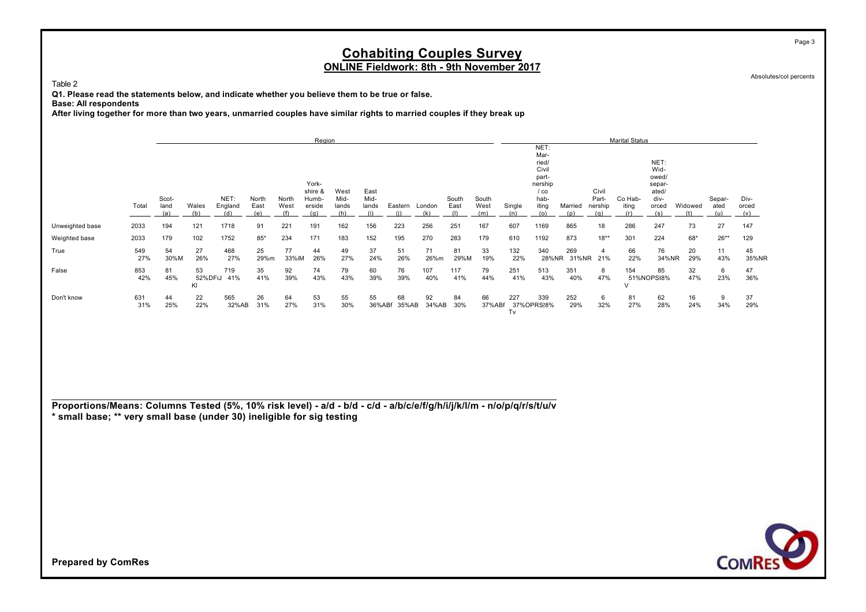Absolutes/col percents

Page 3

Table 2

**Q1. Please read the statements below, and indicate whether you believe them to be true or false.**

**Base: All respondents**

**After living together for more than two years, unmarried couples have similar rights to married couples if they break up**

|                 |            |            |               |            |            |             | Region    |           |           |           |            |            |           |            |               |         |                             | <b>Marital Status</b> |             |           |           |             |
|-----------------|------------|------------|---------------|------------|------------|-------------|-----------|-----------|-----------|-----------|------------|------------|-----------|------------|---------------|---------|-----------------------------|-----------------------|-------------|-----------|-----------|-------------|
|                 |            |            |               |            |            |             |           |           |           |           |            |            |           |            | NET:          |         |                             |                       |             |           |           |             |
|                 |            |            |               |            |            |             |           |           |           |           |            |            |           |            | Mar-<br>ried/ |         |                             |                       | NET:        |           |           |             |
|                 |            |            |               |            |            |             |           |           |           |           |            |            |           |            | Civil         |         |                             |                       | Wid-        |           |           |             |
|                 |            |            |               |            |            |             |           |           |           |           |            |            |           |            | part-         |         |                             |                       | owed/       |           |           |             |
|                 |            |            |               |            |            |             | York-     |           |           |           |            |            |           |            | nership       |         |                             |                       | separ-      |           |           |             |
|                 |            |            |               |            |            |             | shire &   | West      | East      |           |            |            |           |            | $/$ co        |         | Civil                       |                       | ated/       |           |           |             |
|                 |            | Scot-      |               | NET:       | North      | North       | Humb-     | Mid-      | Mid-      |           |            | South      | South     |            | hab-          |         | Part-                       | Co Hab-               | div-        |           | Separ-    | Div-        |
|                 | Total      | land       | Wales         | England    | East       | West        | erside    | lands     | lands     | Eastern   | London     | East       | West      | Single     | iting         | Married | nership                     | iting                 | orced       | Widowed   | ated      | orced       |
|                 |            | <u>(a)</u> | (b)           | (d)        | (e)        |             | (a)       |           |           |           | (k)        |            | (m)       | (n)        | (0)           | (p)     | (q)                         | (r)                   | (s)         |           |           | (v)         |
| Unweighted base | 2033       | 194        | 121           | 1718       | 91         | 221         | 191       | 162       | 156       | 223       | 256        | 251        | 167       | 607        | 1169          | 865     | 18                          | 286                   | 247         | 73        | 27        | 147         |
| Weighted base   | 2033       | 179        | 102           | 1752       | $85*$      | 234         | 171       | 183       | 152       | 195       | 270        | 283        | 179       | 610        | 1192          | 873     | $18**$                      | 301                   | 224         | $68*$     | $26**$    | 129         |
| True            | 549<br>27% | 54<br>30%M | 27<br>26%     | 468<br>27% | 25<br>29%m | 77<br>33%iM | 44<br>26% | 49<br>27% | 37<br>24% | 51<br>26% | 71<br>26%m | 81<br>29%M | 33<br>19% | 132<br>22% | 340<br>28%NR  | 269     | $\overline{4}$<br>31%NR 21% | 66<br>22%             | 76<br>34%NR | 20<br>29% | 11<br>43% | 45<br>35%NR |
|                 |            |            |               |            |            |             |           |           |           |           |            |            |           |            |               |         |                             |                       |             |           |           |             |
| False           | 853<br>42% | 81<br>45%  | 53            | 719<br>41% | 35         | 92          | 74        | 79        | 60        | 76        | 107        | 117        | 79        | 251        | 513           | 351     | 8                           | 154                   | 85          | 32<br>47% | 6         | 47          |
|                 |            |            | 52%DFiJ<br>KI |            | 41%        | 39%         | 43%       | 43%       | 39%       | 39%       | 40%        | 41%        | 44%       | 41%        | 43%           | 40%     | 47%                         |                       | 51%NOPS38%  |           | 23%       | 36%         |
| Don't know      | 631        | 44         | 22            | 565        | 26         | 64          | 53        | 55        | 55        | 68        | 92         | 84         | 66        | 227        | 339           | 252     | 6                           | 81                    | 62          | 16        | 9         | 37          |
|                 | 31%        | 25%        | 22%           | 32%AB      | 31%        | 27%         | 31%       | 30%       | 36%ABf    | 35%AB     | 34%AB      | 30%        | 37%ABf    |            | 37%OPRS28%    | 29%     | 32%                         | 27%                   | 28%         | 24%       | 34%       | 29%         |
|                 |            |            |               |            |            |             |           |           |           |           |            |            |           | Tv         |               |         |                             |                       |             |           |           |             |

**Proportions/Means: Columns Tested (5%, 10% risk level) - a/d - b/d - c/d - a/b/c/e/f/g/h/i/j/k/l/m - n/o/p/q/r/s/t/u/v \* small base; \*\* very small base (under 30) ineligible for sig testing**

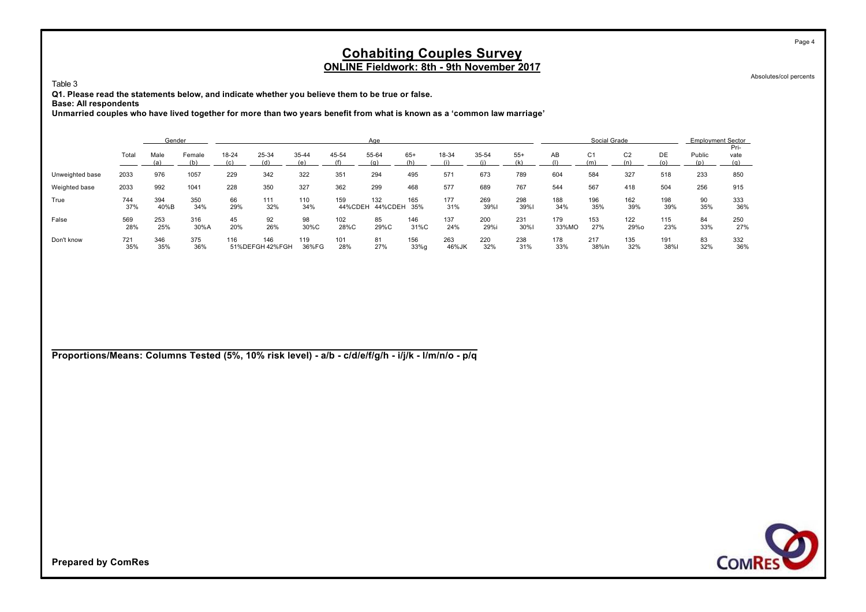Absolutes/col percents

Page 4

Table 3

**Q1. Please read the statements below, and indicate whether you believe them to be true or false.**

**Base: All respondents**

**Unmarried couples who have lived together for more than two years benefit from what is known as a 'common law marriage'**

|                 |            | Gender      |               |              |                        |              |                | Age            |              |              |             |             |              | Social Grade          |                |             | <b>Employment Sector</b> |              |
|-----------------|------------|-------------|---------------|--------------|------------------------|--------------|----------------|----------------|--------------|--------------|-------------|-------------|--------------|-----------------------|----------------|-------------|--------------------------|--------------|
|                 | Total      | Male<br>(a) | Female<br>(b) | 18-24<br>(c) | 25-34<br>(d)           | 35-44        | 45-54          | 55-64<br>(a)   | $65+$<br>(h) | 18-34        | 35-54       | $55+$       | AB           | C <sub>1</sub><br>(m) | C <sub>2</sub> | DE          | Public                   | Pri-<br>vate |
| Unweighted base | 2033       | 976         | 1057          | 229          | 342                    | 322          | 351            | 294            | 495          | 571          | 673         | 789         | 604          | 584                   | 327            | 518         | 233                      | 850          |
| Weighted base   | 2033       | 992         | 1041          | 228          | 350                    | 327          | 362            | 299            | 468          | 577          | 689         | 767         | 544          | 567                   | 418            | 504         | 256                      | 915          |
| True            | 744<br>37% | 394<br>40%B | 350<br>34%    | 66<br>29%    | 111<br>32%             | 110<br>34%   | 159<br>44%CDEH | 132<br>44%CDEH | 165<br>35%   | 177<br>31%   | 269<br>39%1 | 298<br>39%  | 188<br>34%   | 196<br>35%            | 162<br>39%     | 198<br>39%  | 90<br>35%                | 333<br>36%   |
| False           | 569<br>28% | 253<br>25%  | 316<br>30%A   | 45<br>20%    | 92<br>26%              | 98<br>30%C   | 102<br>28%C    | 85<br>29%C     | 146<br>31%C  | 137<br>24%   | 200<br>29%i | 231<br>30%I | 179<br>33%MO | 153<br>27%            | 122<br>29%o    | 115<br>23%  | 84<br>33%                | 250<br>27%   |
| Don't know      | 721<br>35% | 346<br>35%  | 375<br>36%    | 116          | 146<br>51%DEFGH 42%FGH | 119<br>36%FG | 101<br>28%     | 81<br>27%      | 156<br>33%q  | 263<br>46%JK | 220<br>32%  | 238<br>31%  | 178<br>33%   | 217<br>38%In          | 135<br>32%     | 191<br>38%l | 83<br>32%                | 332<br>36%   |

**Proportions/Means: Columns Tested (5%, 10% risk level) - a/b - c/d/e/f/g/h - i/j/k - l/m/n/o - p/q**

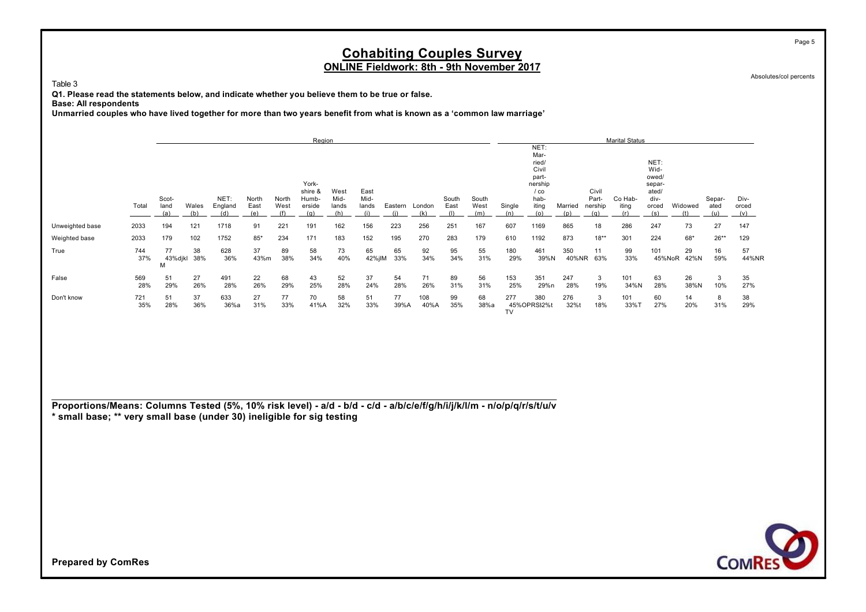Absolutes/col percents

Table 3

**Q1. Please read the statements below, and indicate whether you believe them to be true or false.**

**Base: All respondents**

**Unmarried couples who have lived together for more than two years benefit from what is known as a 'common law marriage'**

|                 |            |                      |              |                        |               |               | Region                            |                              |                              |            |               |                      |                      |               |                                |                |                                  | <b>Marital Status</b>   |                               |            |                |                      |
|-----------------|------------|----------------------|--------------|------------------------|---------------|---------------|-----------------------------------|------------------------------|------------------------------|------------|---------------|----------------------|----------------------|---------------|--------------------------------|----------------|----------------------------------|-------------------------|-------------------------------|------------|----------------|----------------------|
|                 |            |                      |              |                        |               |               |                                   |                              |                              |            |               |                      |                      |               | NET:<br>Mar-                   |                |                                  |                         |                               |            |                |                      |
|                 |            |                      |              |                        |               |               |                                   |                              |                              |            |               |                      |                      |               | ried/<br>Civil                 |                |                                  |                         | NET:<br>Wid-                  |            |                |                      |
|                 |            |                      |              |                        |               |               | York-                             |                              |                              |            |               |                      |                      |               | part-<br>nership               |                |                                  |                         | owed/<br>separ-               |            |                |                      |
|                 | Total      | Scot-<br>land<br>(a) | Wales<br>(b) | NET:<br>England<br>(d) | North<br>East | North<br>West | shire &<br>Humb-<br>erside<br>(a) | West<br>Mid-<br>lands<br>(h) | East<br>Mid-<br>lands<br>(i) | Eastern    | London<br>(k) | South<br>East<br>(1) | South<br>West<br>(m) | Single<br>(n) | $/$ co<br>hab-<br>iting<br>(o) | Married<br>(p) | Civil<br>Part-<br>nership<br>(a) | Co Hab-<br>iting<br>(r) | ated/<br>div-<br>orced<br>(s) | Widowed    | Separ-<br>ated | Div-<br>orced<br>(v) |
| Unweighted base | 2033       | 194                  | 121          | 1718                   | 91            | 221           | 191                               | 162                          | 156                          | 223        | 256           | 251                  | 167                  | 607           | 1169                           | 865            | 18                               | 286                     | 247                           | 73         | 27             | 147                  |
| Weighted base   | 2033       | 179                  | 102          | 1752                   | $85*$         | 234           | 171                               | 183                          | 152                          | 195        | 270           | 283                  | 179                  | 610           | 1192                           | 873            | $18**$                           | 301                     | 224                           | $68*$      | $26***$        | 129                  |
| True            | 744<br>37% | 77<br>43%djkl<br>M   | 38<br>38%    | 628<br>36%             | 37<br>43%m    | 89<br>38%     | 58<br>34%                         | 73<br>40%                    | 65<br>42%jlM                 | 65<br>33%  | 92<br>34%     | 95<br>34%            | 55<br>31%            | 180<br>29%    | 461<br>39%N                    | 350            | 11<br>40%NR 63%                  | 99<br>33%               | 101<br>45%NoR                 | 29<br>42%N | 16<br>59%      | 57<br>44%NR          |
| False           | 569<br>28% | 51<br>29%            | 27<br>26%    | 491<br>28%             | 22<br>26%     | 68<br>29%     | 43<br>25%                         | 52<br>28%                    | 37<br>24%                    | 54<br>28%  | 71<br>26%     | 89<br>31%            | 56<br>31%            | 153<br>25%    | 351<br>29%n                    | 247<br>28%     | 3<br>19%                         | 101<br>34%N             | 63<br>28%                     | 26<br>38%N | 3<br>10%       | 35<br>27%            |
| Don't know      | 721<br>35% | 51<br>28%            | 37<br>36%    | 633<br>36%a            | 27<br>31%     | 77<br>33%     | 70<br>41%A                        | 58<br>32%                    | 51<br>33%                    | 77<br>39%A | 108<br>40%A   | 99<br>35%            | 68<br>38%a           | 277<br>TV     | 380<br>45%OPRS32%t             | 276<br>32%t    | 3<br>18%                         | 101<br>33%T             | 60<br>27%                     | 14<br>20%  | 8<br>31%       | 38<br>29%            |

**Proportions/Means: Columns Tested (5%, 10% risk level) - a/d - b/d - c/d - a/b/c/e/f/g/h/i/j/k/l/m - n/o/p/q/r/s/t/u/v \* small base; \*\* very small base (under 30) ineligible for sig testing**



**Prepared by ComRes**

Page 5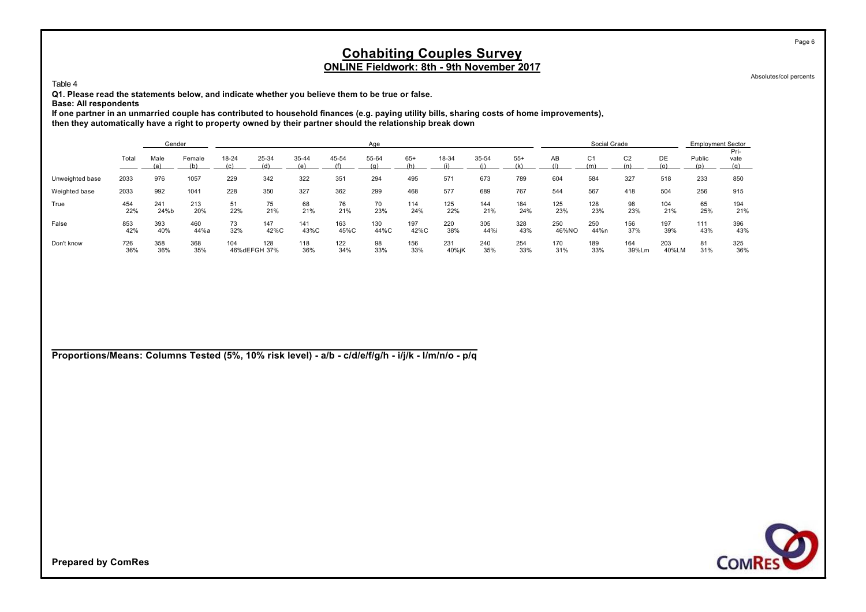Absolutes/col percents

Page 6

Table 4

**Q1. Please read the statements below, and indicate whether you believe them to be true or false.**

**Base: All respondents**

**If one partner in an unmarried couple has contributed to household finances (e.g. paying utility bills, sharing costs of home improvements), then they automatically have a right to property owned by their partner should the relationship break down**

|                 |            | Gender      |             |           |                     |             |             | Age          |             |              |              |            |              | Social Grade          |                |              | <b>Employment Sector</b> |              |
|-----------------|------------|-------------|-------------|-----------|---------------------|-------------|-------------|--------------|-------------|--------------|--------------|------------|--------------|-----------------------|----------------|--------------|--------------------------|--------------|
|                 | Total      | Male<br>(a) | Female      | 18-24     | 25-34               | 35-44       | 45-54       | 55-64<br>(n) | $65+$       | 18-34        | 35-54<br>(i) | $55+$      | AB           | C <sub>1</sub><br>(m) | C <sub>2</sub> | DE<br>(0)    | Public                   | Pri-<br>vate |
| Unweighted base | 2033       | 976         | 1057        | 229       | 342                 | 322         | 351         | 294          | 495         | 571          | 673          | 789        | 604          | 584                   | 327            | 518          | 233                      | 850          |
| Weighted base   | 2033       | 992         | 1041        | 228       | 350                 | 327         | 362         | 299          | 468         | 577          | 689          | 767        | 544          | 567                   | 418            | 504          | 256                      | 915          |
| True            | 454<br>22% | 241<br>24%b | 213<br>20%  | 51<br>22% | 75<br>21%           | 68<br>21%   | 76<br>21%   | 70<br>23%    | 114<br>24%  | 125<br>22%   | 144<br>21%   | 184<br>24% | 125<br>23%   | 128<br>23%            | 98<br>23%      | 104<br>21%   | 65<br>25%                | 194<br>21%   |
| False           | 853<br>42% | 393<br>40%  | 460<br>44%a | 73<br>32% | 147<br>42%C         | 141<br>43%C | 163<br>45%C | 130<br>44%C  | 197<br>42%C | 220<br>38%   | 305<br>44%i  | 328<br>43% | 250<br>46%NO | 250<br>44%n           | 156<br>37%     | 197<br>39%   | 111<br>43%               | 396<br>43%   |
| Don't know      | 726<br>36% | 358<br>36%  | 368<br>35%  | 104       | 128<br>46%dEFGH 37% | 118<br>36%  | 122<br>34%  | 98<br>33%    | 156<br>33%  | 231<br>40%jK | 240<br>35%   | 254<br>33% | 170<br>31%   | 189<br>33%            | 164<br>39%Lm   | 203<br>40%LM | 81<br>31%                | 325<br>36%   |

**Proportions/Means: Columns Tested (5%, 10% risk level) - a/b - c/d/e/f/g/h - i/j/k - l/m/n/o - p/q**

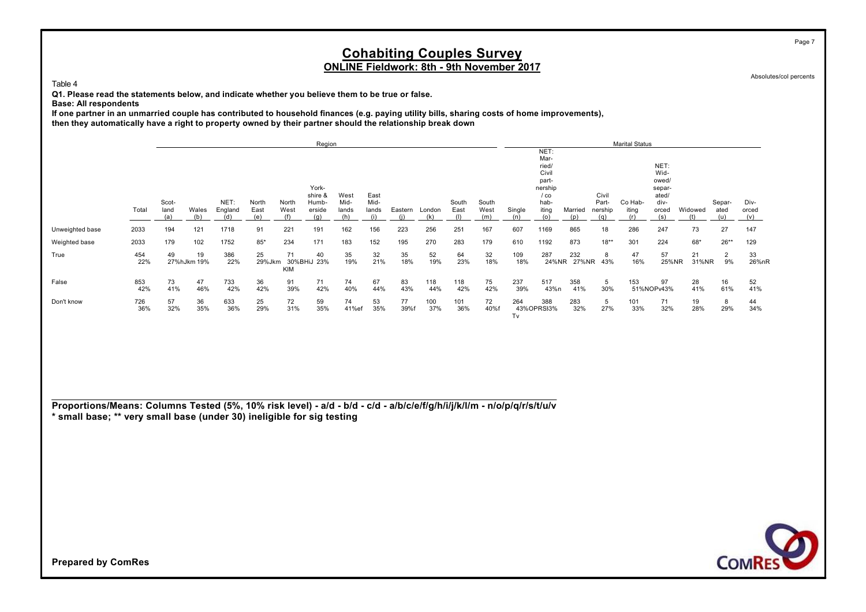Absolutes/col percents

Page 7

Table 4

**Q1. Please read the statements below, and indicate whether you believe them to be true or false.**

**Base: All respondents**

**If one partner in an unmarried couple has contributed to household finances (e.g. paying utility bills, sharing costs of home improvements), then they automatically have a right to property owned by their partner should the relationship break down**

|                 |            |             |                   |                |              |                  | Region            |              |              |            |               |            |                      |               |                   |                |                | <b>Marital Status</b> |                  |             |             |              |
|-----------------|------------|-------------|-------------------|----------------|--------------|------------------|-------------------|--------------|--------------|------------|---------------|------------|----------------------|---------------|-------------------|----------------|----------------|-----------------------|------------------|-------------|-------------|--------------|
|                 |            |             |                   |                |              |                  |                   |              |              |            |               |            |                      |               | NET:<br>Mar-      |                |                |                       |                  |             |             |              |
|                 |            |             |                   |                |              |                  |                   |              |              |            |               |            |                      |               | ried/<br>Civil    |                |                |                       | NET:<br>Wid-     |             |             |              |
|                 |            |             |                   |                |              |                  | York-             |              |              |            |               |            |                      |               | part-<br>nership  |                |                |                       | owed/<br>separ-  |             |             |              |
|                 |            | Scot-       |                   | NET:           | North        | North            | shire &<br>Humb-  | West<br>Mid- | East<br>Mid- |            |               | South      |                      |               | $/$ co<br>hab-    |                | Civil<br>Part- | Co Hab-               | ated/<br>div-    |             | Separ-      | Div-         |
|                 | Total      | land<br>(a) | Wales<br>(b)      | England<br>(d) | East<br>(e)  | West             | erside<br>(q)     | lands        | lands        | Eastern    | London<br>(k) | East       | South<br>West<br>(m) | Single<br>(n) | iting<br>(o)      | Married<br>(p) | nership<br>(a) | iting                 | orced<br>(s)     | Widowed     | ated<br>(u) | orced<br>(v) |
| Unweighted base | 2033       | 194         | 121               | 1718           | 91           | 221              | 191               | 162          | 156          | 223        | 256           | 251        | 167                  | 607           | 1169              | 865            | 18             | 286                   | 247              | 73          | 27          | 147          |
| Weighted base   | 2033       | 179         | 102               | 1752           | $85*$        | 234              | 171               | 183          | 152          | 195        | 270           | 283        | 179                  | 610           | 1192              | 873            | $18**$         | 301                   | 224              | $68*$       | $26**$      | 129          |
| True            | 454<br>22% | 49          | 19<br>27%hJkm 19% | 386<br>22%     | 25<br>29%Jkm | 71<br><b>KIM</b> | 40<br>30%BHiJ 23% | 35<br>19%    | 32<br>21%    | 35<br>18%  | 52<br>19%     | 64<br>23%  | 32<br>18%            | 109<br>18%    | 287<br>24%NR      | 232<br>27%NR   | 8<br>43%       | 47<br>16%             | 57<br>25%NR      | 21<br>31%NR | 2<br>9%     | 33<br>26%nR  |
| False           | 853<br>42% | 73<br>41%   | 47<br>46%         | 733<br>42%     | 36<br>42%    | 91<br>39%        | 71<br>42%         | 74<br>40%    | 67<br>44%    | 83<br>43%  | 118<br>44%    | 118<br>42% | 75<br>42%            | 237<br>39%    | 517<br>43%n       | 358<br>41%     | 5<br>30%       | 153                   | 97<br>51%NOPv43% | 28<br>41%   | 16<br>61%   | 52<br>41%    |
| Don't know      | 726<br>36% | 57<br>32%   | 36<br>35%         | 633<br>36%     | 25<br>29%    | 72<br>31%        | 59<br>35%         | 74<br>41%ef  | 53<br>35%    | 77<br>39%f | 100<br>37%    | 101<br>36% | 72<br>40%f           | 264<br>Tv     | 388<br>43%OPRS33% | 283<br>32%     | 5<br>27%       | 101<br>33%            | 71<br>32%        | 19<br>28%   | 8<br>29%    | 44<br>34%    |

**Proportions/Means: Columns Tested (5%, 10% risk level) - a/d - b/d - c/d - a/b/c/e/f/g/h/i/j/k/l/m - n/o/p/q/r/s/t/u/v \* small base; \*\* very small base (under 30) ineligible for sig testing**

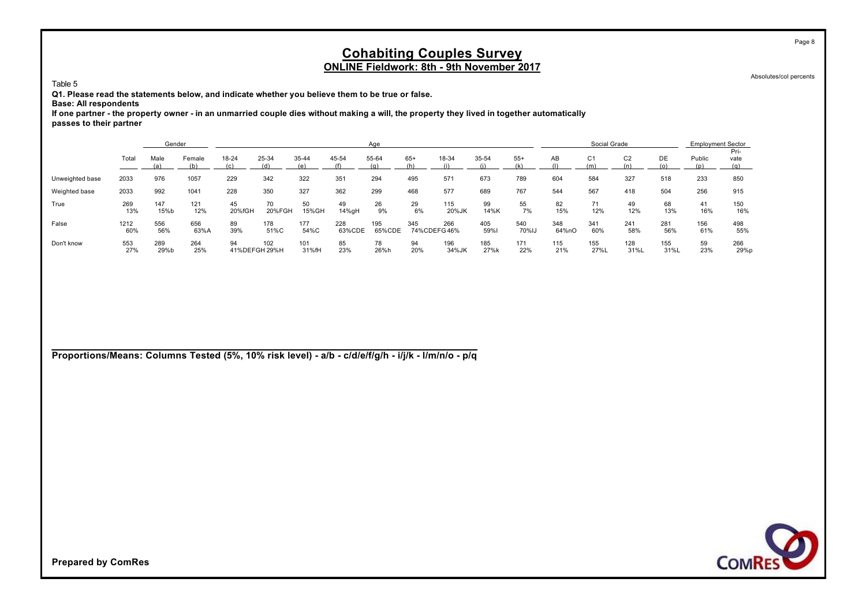Absolutes/col percents

Page 8

Table 5

**Q1. Please read the statements below, and indicate whether you believe them to be true or false.**

**Base: All respondents**

**If one partner - the property owner - in an unmarried couple dies without making a will, the property they lived in together automatically passes to their partner**

|                 |             | Gender      |               |                       |              |              |               | Age           |                    |              |             |              |              | Social Grade          |                |             | <b>Employment Sector</b> |              |
|-----------------|-------------|-------------|---------------|-----------------------|--------------|--------------|---------------|---------------|--------------------|--------------|-------------|--------------|--------------|-----------------------|----------------|-------------|--------------------------|--------------|
|                 | Total       | Male<br>(a) | Female<br>(b) | 18-24<br>(c)          | 25-34<br>(d) | 35-44        | 45-54         | 55-64<br>(q)  | $65+$<br>(h)       | 18-34        | 35-54       | $55+$        | AB           | C <sub>1</sub><br>(m) | C <sub>2</sub> | DE          | Public                   | Pri-<br>vate |
| Unweighted base | 2033        | 976         | 1057          | 229                   | 342          | 322          | 351           | 294           | 495                | 571          | 673         | 789          | 604          | 584                   | 327            | 518         | 233                      | 850          |
| Weighted base   | 2033        | 992         | 1041          | 228                   | 350          | 327          | 362           | 299           | 468                | 577          | 689         | 767          | 544          | 567                   | 418            | 504         | 256                      | 915          |
| True            | 269<br>13%  | 147<br>15%b | 121<br>12%    | 45<br>20%fGH          | 70<br>20%FGH | 50<br>15%GH  | 49<br>14%gH   | 26<br>9%      | 29<br>6%           | 115<br>20%JK | 99<br>14%K  | 55<br>7%     | 82<br>15%    | 71<br>12%             | 49<br>12%      | 68<br>13%   | 41<br>16%                | 150<br>16%   |
| False           | 1212<br>60% | 556<br>56%  | 656<br>63%A   | 89<br>39%             | 178<br>51%C  | 177<br>54%C  | 228<br>63%CDE | 195<br>65%CDE | 345<br>74%CDEFG46% | 266          | 405<br>59%l | 540<br>70%IJ | 348<br>64%nO | 341<br>60%            | 241<br>58%     | 281<br>56%  | 156<br>61%               | 498<br>55%   |
| Don't know      | 553<br>27%  | 289<br>29%b | 264<br>25%    | 94<br>41% DEFGH 29% H | 102          | 101<br>31%fH | 85<br>23%     | 78<br>26%h    | 94<br>20%          | 196<br>34%JK | 185<br>27%k | 171<br>22%   | 115<br>21%   | 155<br>27%L           | 128<br>31%L    | 155<br>31%L | 59<br>23%                | 266<br>29%p  |

**Proportions/Means: Columns Tested (5%, 10% risk level) - a/b - c/d/e/f/g/h - i/j/k - l/m/n/o - p/q**

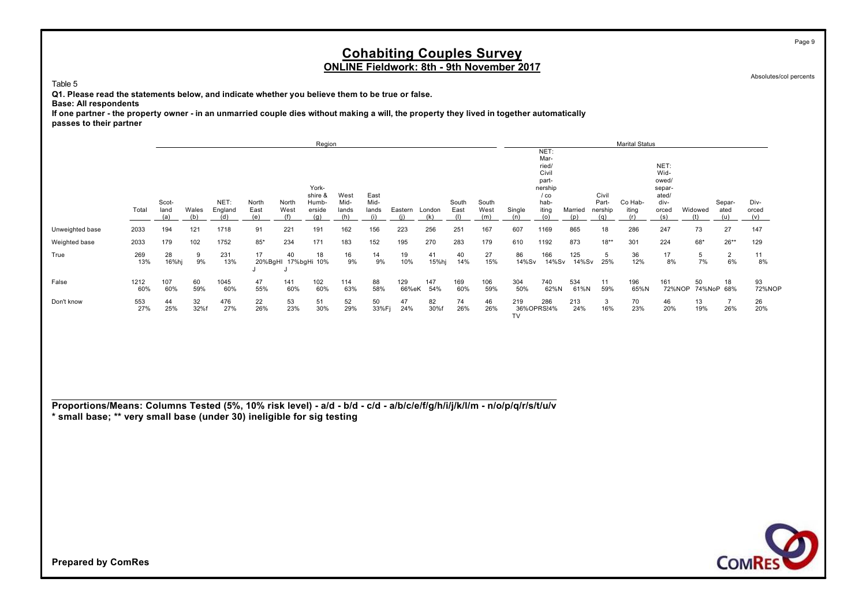Absolutes/col percents

Page 9

Table 5

**Q1. Please read the statements below, and indicate whether you believe them to be true or false.**

**Base: All respondents**

**If one partner - the property owner - in an unmarried couple dies without making a will, the property they lived in together automatically passes to their partner**

|                 |             |                             |              |                        |                      |                      | Region                 |                      |                      |              |               |               |                      |               |                         |                |                         | <b>Marital Status</b> |                       |                |                       |                      |
|-----------------|-------------|-----------------------------|--------------|------------------------|----------------------|----------------------|------------------------|----------------------|----------------------|--------------|---------------|---------------|----------------------|---------------|-------------------------|----------------|-------------------------|-----------------------|-----------------------|----------------|-----------------------|----------------------|
|                 |             |                             |              |                        |                      |                      |                        |                      |                      |              |               |               |                      |               | NET:<br>Mar-            |                |                         |                       |                       |                |                       |                      |
|                 |             |                             |              |                        |                      |                      |                        |                      |                      |              |               |               |                      |               | ried/<br>Civil<br>part- |                |                         |                       | NET:<br>Wid-<br>owed/ |                |                       |                      |
|                 |             |                             |              |                        |                      |                      | York-<br>shire &       | West                 | East                 |              |               |               |                      |               | nership<br>$/$ co       |                | Civil                   |                       | separ-<br>ated/       |                |                       |                      |
|                 | Total       | Scot-<br>land<br><u>(a)</u> | Wales<br>(b) | NET:<br>England<br>(d) | North<br>East<br>(e) | North<br>West<br>(f) | Humb-<br>erside<br>(q) | Mid-<br>lands<br>(h) | Mid-<br>lands<br>(i) | Eastern      | London<br>(k) | South<br>East | South<br>West<br>(m) | Single<br>(n) | hab-<br>iting<br>(0)    | Married<br>(p) | Part-<br>nership<br>(a) | Co Hab-<br>iting      | div-<br>orced<br>(s)  | Widowed<br>(t) | Separ-<br>ated<br>(u) | Div-<br>orced<br>(v) |
| Unweighted base | 2033        | 194                         | 121          | 1718                   | 91                   | 221                  | 191                    | 162                  | 156                  | 223          | 256           | 251           | 167                  | 607           | 1169                    | 865            | 18                      | 286                   | 247                   | 73             | 27                    | 147                  |
| Weighted base   | 2033        | 179                         | 102          | 1752                   | $85*$                | 234                  | 171                    | 183                  | 152                  | 195          | 270           | 283           | 179                  | 610           | 1192                    | 873            | $18**$                  | 301                   | 224                   | 68*            | $26**$                | 129                  |
| True            | 269<br>13%  | 28<br>16%hj                 | 9<br>9%      | 231<br>13%             | 17<br>20%BgHI        | 40                   | 18<br>17%bgHi 10%      | 16<br>9%             | 14<br>9%             | 19<br>10%    | 41<br>15%hj   | 40<br>14%     | 27<br>15%            | 86<br>14%Sv   | 166<br>14%Sv            | 125<br>14%Sv   | 5<br>25%                | 36<br>12%             | 17<br>8%              | 5<br>7%        | $\overline{2}$<br>6%  | 11<br>8%             |
| False           | 1212<br>60% | 107<br>60%                  | 60<br>59%    | 1045<br>60%            | 47<br>55%            | 141<br>60%           | 102<br>60%             | 114<br>63%           | 88<br>58%            | 129<br>66%eK | 147<br>54%    | 169<br>60%    | 106<br>59%           | 304<br>50%    | 740<br>62%N             | 534<br>61%N    | 11<br>59%               | 196<br>65%N           | 161<br>72%NOP         | 50             | 18<br>74%NoP 68%      | 93<br>72%NOP         |
| Don't know      | 553<br>27%  | 44<br>25%                   | 32<br>32%f   | 476<br>27%             | 22<br>26%            | 53<br>23%            | 51<br>30%              | 52<br>29%            | 50<br>33%Fj          | 47<br>24%    | 82<br>30%f    | 74<br>26%     | 46<br>26%            | 219<br>TV     | 286<br>36%OPRS24%       | 213<br>24%     | 3<br>16%                | 70<br>23%             | 46<br>20%             | 13<br>19%      | 26%                   | 26<br>20%            |

**Proportions/Means: Columns Tested (5%, 10% risk level) - a/d - b/d - c/d - a/b/c/e/f/g/h/i/j/k/l/m - n/o/p/q/r/s/t/u/v \* small base; \*\* very small base (under 30) ineligible for sig testing**

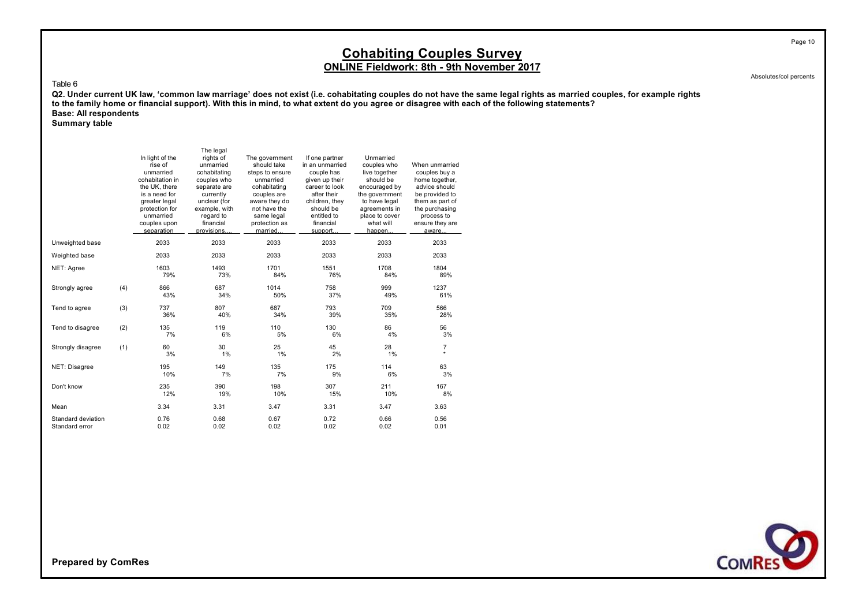Absolutes/col percents

Page 10

#### Table 6

Q2. Under current UK law, 'common law marriage' does not exist (i.e. cohabitating couples do not have the same legal rights as married couples, for example rights **to the family home or financial support). With this in mind, to what extent do you agree or disagree with each of the following statements? Base: All respondents**

**Summary table**

|                                      |     | In light of the<br>rise of<br>unmarried<br>cohabitation in<br>the UK, there<br>is a need for<br>greater legal<br>protection for<br>unmarried<br>couples upon<br>separation | The legal<br>rights of<br>unmarried<br>cohabitating<br>couples who<br>separate are<br>currently<br>unclear (for<br>example, with<br>regard to<br>financial<br>provisions,. | The government<br>should take<br>steps to ensure<br>unmarried<br>cohabitating<br>couples are<br>aware they do<br>not have the<br>same legal<br>protection as<br>married. | If one partner<br>in an unmarried<br>couple has<br>given up their<br>career to look<br>after their<br>children, they<br>should be<br>entitled to<br>financial<br>support. | Unmarried<br>couples who<br>live together<br>should be<br>encouraged by<br>the government<br>to have legal<br>agreements in<br>place to cover<br>what will<br>happen | When unmarried<br>couples buy a<br>home together,<br>advice should<br>be provided to<br>them as part of<br>the purchasing<br>process to<br>ensure they are<br>aware |
|--------------------------------------|-----|----------------------------------------------------------------------------------------------------------------------------------------------------------------------------|----------------------------------------------------------------------------------------------------------------------------------------------------------------------------|--------------------------------------------------------------------------------------------------------------------------------------------------------------------------|---------------------------------------------------------------------------------------------------------------------------------------------------------------------------|----------------------------------------------------------------------------------------------------------------------------------------------------------------------|---------------------------------------------------------------------------------------------------------------------------------------------------------------------|
| Unweighted base                      |     | 2033                                                                                                                                                                       | 2033                                                                                                                                                                       | 2033                                                                                                                                                                     | 2033                                                                                                                                                                      | 2033                                                                                                                                                                 | 2033                                                                                                                                                                |
| Weighted base                        |     | 2033                                                                                                                                                                       | 2033                                                                                                                                                                       | 2033                                                                                                                                                                     | 2033                                                                                                                                                                      | 2033                                                                                                                                                                 | 2033                                                                                                                                                                |
| NET: Agree                           |     | 1603<br>79%                                                                                                                                                                | 1493<br>73%                                                                                                                                                                | 1701<br>84%                                                                                                                                                              | 1551<br>76%                                                                                                                                                               | 1708<br>84%                                                                                                                                                          | 1804<br>89%                                                                                                                                                         |
| Strongly agree                       | (4) | 866<br>43%                                                                                                                                                                 | 687<br>34%                                                                                                                                                                 | 1014<br>50%                                                                                                                                                              | 758<br>37%                                                                                                                                                                | 999<br>49%                                                                                                                                                           | 1237<br>61%                                                                                                                                                         |
| Tend to agree                        | (3) | 737<br>36%                                                                                                                                                                 | 807<br>40%                                                                                                                                                                 | 687<br>34%                                                                                                                                                               | 793<br>39%                                                                                                                                                                | 709<br>35%                                                                                                                                                           | 566<br>28%                                                                                                                                                          |
| Tend to disagree                     | (2) | 135<br>7%                                                                                                                                                                  | 119<br>6%                                                                                                                                                                  | 110<br>5%                                                                                                                                                                | 130<br>6%                                                                                                                                                                 | 86<br>4%                                                                                                                                                             | 56<br>3%                                                                                                                                                            |
| Strongly disagree                    | (1) | 60<br>3%                                                                                                                                                                   | 30<br>1%                                                                                                                                                                   | 25<br>1%                                                                                                                                                                 | 45<br>2%                                                                                                                                                                  | 28<br>1%                                                                                                                                                             | $\overline{7}$<br>$\star$                                                                                                                                           |
| NET: Disagree                        |     | 195<br>10%                                                                                                                                                                 | 149<br>7%                                                                                                                                                                  | 135<br>7%                                                                                                                                                                | 175<br>9%                                                                                                                                                                 | 114<br>6%                                                                                                                                                            | 63<br>3%                                                                                                                                                            |
| Don't know                           |     | 235<br>12%                                                                                                                                                                 | 390<br>19%                                                                                                                                                                 | 198<br>10%                                                                                                                                                               | 307<br>15%                                                                                                                                                                | 211<br>10%                                                                                                                                                           | 167<br>8%                                                                                                                                                           |
| Mean                                 |     | 3.34                                                                                                                                                                       | 3.31                                                                                                                                                                       | 3.47                                                                                                                                                                     | 3.31                                                                                                                                                                      | 3.47                                                                                                                                                                 | 3.63                                                                                                                                                                |
| Standard deviation<br>Standard error |     | 0.76<br>0.02                                                                                                                                                               | 0.68<br>0.02                                                                                                                                                               | 0.67<br>0.02                                                                                                                                                             | 0.72<br>0.02                                                                                                                                                              | 0.66<br>0.02                                                                                                                                                         | 0.56<br>0.01                                                                                                                                                        |

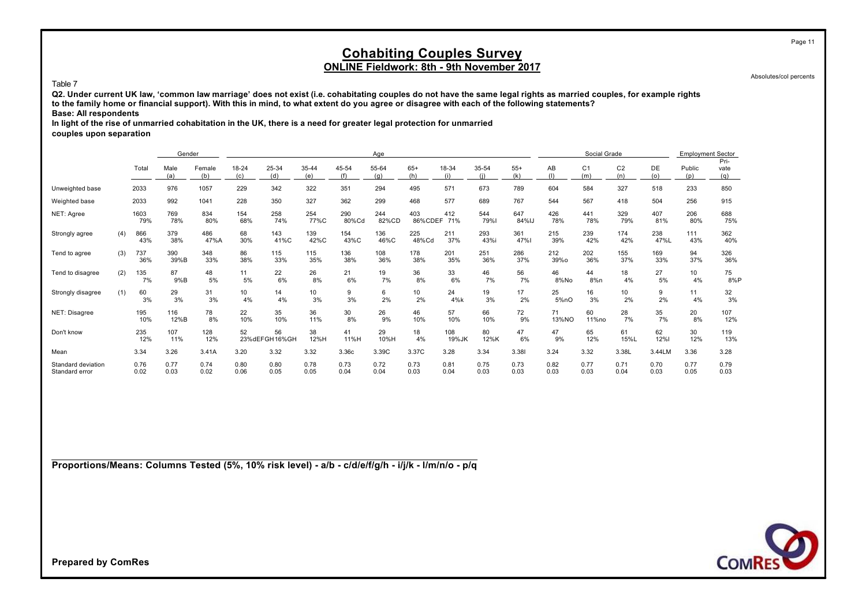Absolutes/col percents

Page 11

#### Table 7

**Q2. Under current UK law, 'common law marriage' does not exist (i.e. cohabitating couples do not have the same legal rights as married couples, for example rights to the family home or financial support). With this in mind, to what extent do you agree or disagree with each of the following statements? Base: All respondents**

**In light of the rise of unmarried cohabitation in the UK, there is a need for greater legal protection for unmarried**

**couples upon separation**

|                                      |     |              | Gender       |               |                        |                     |              |              | Age          |                    |              |              |              |              | Social Grade          |                       |              | <b>Employment Sector</b> |                     |
|--------------------------------------|-----|--------------|--------------|---------------|------------------------|---------------------|--------------|--------------|--------------|--------------------|--------------|--------------|--------------|--------------|-----------------------|-----------------------|--------------|--------------------------|---------------------|
|                                      |     | Total        | Male<br>(a)  | Female<br>(b) | 18-24<br>(c)           | 25-34<br>(d)        | 35-44<br>(e) | 45-54<br>(f) | 55-64<br>(a) | $65+$<br>(h)       | 18-34<br>(i) | 35-54        | $55+$<br>(k) | AB<br>(1)    | C <sub>1</sub><br>(m) | C <sub>2</sub><br>(n) | DE<br>(o)    | Public<br>(p)            | Pri-<br>vate<br>(q) |
| Unweighted base                      |     | 2033         | 976          | 1057          | 229                    | 342                 | 322          | 351          | 294          | 495                | 571          | 673          | 789          | 604          | 584                   | 327                   | 518          | 233                      | 850                 |
| Weighted base                        |     | 2033         | 992          | 1041          | 228                    | 350                 | 327          | 362          | 299          | 468                | 577          | 689          | 767          | 544          | 567                   | 418                   | 504          | 256                      | 915                 |
| NET: Agree                           |     | 1603<br>79%  | 769<br>78%   | 834<br>80%    | 154<br>68%             | 258<br>74%          | 254<br>77%C  | 290<br>80%Cd | 244<br>82%CD | 403<br>86%CDEF 71% | 412          | 544<br>79%   | 647<br>84%IJ | 426<br>78%   | 441<br>78%            | 329<br>79%            | 407<br>81%   | 206<br>80%               | 688<br>75%          |
| Strongly agree                       | (4) | 866<br>43%   | 379<br>38%   | 486<br>47%A   | 68<br>30%              | 143<br>41%C         | 139<br>42%C  | 154<br>43%C  | 136<br>46%C  | 225<br>48%Cd       | 211<br>37%   | 293<br>43%i  | 361<br>47%   | 215<br>39%   | 239<br>42%            | 174<br>42%            | 238<br>47%L  | 111<br>43%               | 362<br>40%          |
| Tend to agree                        | (3) | 737<br>36%   | 390<br>39%B  | 348<br>33%    | 86<br>38%              | 115<br>33%          | 115<br>35%   | 136<br>38%   | 108<br>36%   | 178<br>38%         | 201<br>35%   | 251<br>36%   | 286<br>37%   | 212<br>39%o  | 202<br>36%            | 155<br>37%            | 169<br>33%   | 94<br>37%                | 326<br>36%          |
| Tend to disagree                     | (2) | 135<br>7%    | 87<br>9%B    | 48<br>5%      | 11<br>5%               | 22<br>6%            | 26<br>8%     | 21<br>6%     | 19<br>7%     | 36<br>8%           | 33<br>6%     | 46<br>7%     | 56<br>7%     | 46<br>8%No   | 44<br>8%n             | 18<br>4%              | 27<br>5%     | 10<br>4%                 | 75<br>8%P           |
| Strongly disagree                    | (1) | 60<br>3%     | 29<br>3%     | 31<br>3%      | 10 <sup>10</sup><br>4% | 14<br>4%            | 10<br>3%     | 9<br>3%      | 6<br>2%      | 10<br>2%           | 24<br>4%k    | 19<br>3%     | 17<br>2%     | 25<br>5%nO   | 16<br>3%              | 10 <sup>1</sup><br>2% | 9<br>2%      | 11<br>4%                 | 32<br>3%            |
| NET: Disagree                        |     | 195<br>10%   | 116<br>12%B  | 78<br>8%      | 22<br>10%              | 35<br>10%           | 36<br>11%    | 30<br>8%     | 26<br>9%     | 46<br>10%          | 57<br>10%    | 66<br>10%    | 72<br>9%     | 71<br>13%NO  | 60<br>11%no           | 28<br>7%              | 35<br>7%     | 20<br>8%                 | 107<br>12%          |
| Don't know                           |     | 235<br>12%   | 107<br>11%   | 128<br>12%    | 52                     | 56<br>23%dEFGH16%GH | 38<br>12%H   | 41<br>11%H   | 29<br>10%H   | 18<br>4%           | 108<br>19%JK | 80<br>12%K   | 47<br>6%     | 47<br>9%     | 65<br>12%             | 61<br>15%L            | 62<br>12%    | 30<br>12%                | 119<br>13%          |
| Mean                                 |     | 3.34         | 3.26         | 3.41A         | 3.20                   | 3.32                | 3.32         | 3.36c        | 3.39C        | 3.37C              | 3.28         | 3.34         | 3.381        | 3.24         | 3.32                  | 3.38L                 | 3.44LM       | 3.36                     | 3.28                |
| Standard deviation<br>Standard error |     | 0.76<br>0.02 | 0.77<br>0.03 | 0.74<br>0.02  | 0.80<br>0.06           | 0.80<br>0.05        | 0.78<br>0.05 | 0.73<br>0.04 | 0.72<br>0.04 | 0.73<br>0.03       | 0.81<br>0.04 | 0.75<br>0.03 | 0.73<br>0.03 | 0.82<br>0.03 | 0.77<br>0.03          | 0.71<br>0.04          | 0.70<br>0.03 | 0.77<br>0.05             | 0.79<br>0.03        |

**Proportions/Means: Columns Tested (5%, 10% risk level) - a/b - c/d/e/f/g/h - i/j/k - l/m/n/o - p/q**

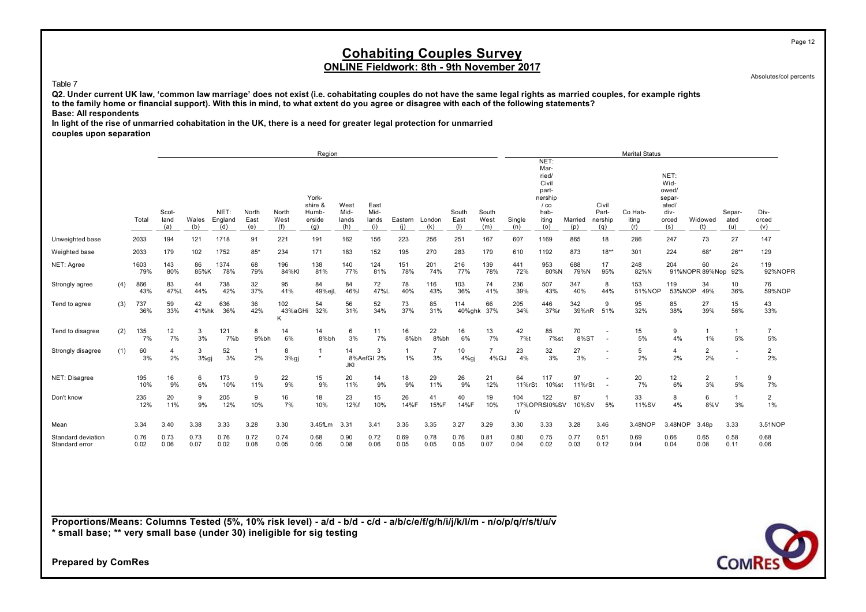### **Cohabiting Couples Survey ONLINE Fieldwork: 8th - 9th November 2017**

Absolutes/col percents

#### Table 7

**Q2. Under current UK law, 'common law marriage' does not exist (i.e. cohabitating couples do not have the same legal rights as married couples, for example rights to the family home or financial support). With this in mind, to what extent do you agree or disagree with each of the following statements? Base: All respondents**

**In light of the rise of unmarried cohabitation in the UK, there is a need for greater legal protection for unmarried couples upon separation**

|                                      |     |              |                      |              |                        |                      |                      | Region                                     |                              |                              |                |               |                      |                        |               |                                                                                      |                |                                  | <b>Marital Status</b>   |                                                                  |                          |                       |                      |
|--------------------------------------|-----|--------------|----------------------|--------------|------------------------|----------------------|----------------------|--------------------------------------------|------------------------------|------------------------------|----------------|---------------|----------------------|------------------------|---------------|--------------------------------------------------------------------------------------|----------------|----------------------------------|-------------------------|------------------------------------------------------------------|--------------------------|-----------------------|----------------------|
|                                      |     | Total        | Scot-<br>land<br>(a) | Wales<br>(b) | NET:<br>England<br>(d) | North<br>East<br>(e) | North<br>West<br>(f) | York-<br>shire &<br>Humb-<br>erside<br>(a) | West<br>Mid-<br>lands<br>(h) | East<br>Mid-<br>lands<br>(i) | Eastern<br>(i) | London<br>(k) | South<br>East<br>(1) | South<br>West<br>(m)   | Single<br>(n) | NET:<br>Mar-<br>ried/<br>Civil<br>part-<br>nership<br>$/$ co<br>hab-<br>iting<br>(o) | Married<br>(p) | Civil<br>Part-<br>nership<br>(a) | Co Hab-<br>iting<br>(r) | NET:<br>Wid-<br>owed/<br>separ-<br>ated/<br>div-<br>orced<br>(s) | Widowed                  | Separ-<br>ated<br>(u) | Div-<br>orced<br>(v) |
| Unweighted base                      |     | 2033         | 194                  | 121          | 1718                   | 91                   | 221                  | 191                                        | 162                          | 156                          | 223            | 256           | 251                  | 167                    | 607           | 1169                                                                                 | 865            | 18                               | 286                     | 247                                                              | 73                       | 27                    | 147                  |
| Weighted base                        |     | 2033         | 179                  | 102          | 1752                   | $85*$                | 234                  | 171                                        | 183                          | 152                          | 195            | 270           | 283                  | 179                    | 610           | 1192                                                                                 | 873            | $18**$                           | 301                     | 224                                                              | 68*                      | $26**$                | 129                  |
| NET: Agree                           |     | 1603<br>79%  | 143<br>80%           | 86<br>85%K   | 1374<br>78%            | 68<br>79%            | 196<br>84%KI         | 138<br>81%                                 | 140<br>77%                   | 124<br>81%                   | 151<br>78%     | 201<br>74%    | 216<br>77%           | 139<br>78%             | 441<br>72%    | 953<br>80%N                                                                          | 688<br>79%N    | 17<br>95%                        | 248<br>82%N             | 204                                                              | 60<br>91%NOPR 89%Nop 92% | 24                    | 119<br>92%NOPR       |
| Strongly agree                       | (4) | 866<br>43%   | 83<br>47%L           | 44<br>44%    | 738<br>42%             | 32<br>37%            | 95<br>41%            | 84<br>49%eil                               | 84<br>46%                    | 72<br>47%L                   | 78<br>40%      | 116<br>43%    | 103<br>36%           | 74<br>41%              | 236<br>39%    | 507<br>43%                                                                           | 347<br>40%     | 8<br>44%                         | 153<br>51%NOP           | 119<br>53%NOP                                                    | 34<br>49%                | 10<br>36%             | 76<br>59%NOP         |
| Tend to agree                        | (3) | 737<br>36%   | 59<br>33%            | 42<br>41%hk  | 636<br>36%             | 36<br>42%            | 102<br>43%aGHi<br>K  | 54<br>32%                                  | 56<br>31%                    | 52<br>34%                    | 73<br>37%      | 85<br>31%     | 114                  | 66<br>40%ghk 37%       | 205<br>34%    | 446<br>37%r                                                                          | 342<br>39%nR   | 9<br>51%                         | 95<br>32%               | 85<br>38%                                                        | 27<br>39%                | 15<br>56%             | 43<br>33%            |
| Tend to disagree                     | (2) | 135<br>7%    | 12<br>7%             | 3<br>3%      | 121<br>7%b             | 8<br>9%bh            | 14<br>6%             | 14<br>8%bh                                 | 6<br>3%                      | 11<br>7%                     | 16<br>8%bh     | 22<br>8%bh    | 16<br>6%             | 13<br>7%               | 42<br>7%t     | 85<br>7%st                                                                           | 70<br>8%ST     |                                  | 15<br>5%                | 9<br>4%                                                          | $\mathbf{1}$<br>1%       | 5%                    | $\overline{7}$<br>5% |
| Strongly disagree                    | (1) | 60<br>3%     | 4<br>2%              | 3<br>$3%$ gj | 52<br>3%               | 2%                   | 8<br>3%gj            | $\star$                                    | 14<br><b>JKI</b>             | 3<br>8%AefGI 2%              | 1%             | 3%            | 10<br>$4%$ gj        | $\overline{7}$<br>4%GJ | 23<br>4%      | 32<br>3%                                                                             | 27<br>3%       |                                  | 5<br>2%                 | 4<br>2%                                                          | $\overline{a}$<br>2%     |                       | $\overline{2}$<br>2% |
| NET: Disagree                        |     | 195<br>10%   | 16<br>9%             | 6<br>6%      | 173<br>10%             | 9<br>11%             | 22<br>9%             | 15<br>9%                                   | 20<br>11%                    | 14<br>9%                     | 18<br>9%       | 29<br>11%     | 26<br>9%             | 21<br>12%              | 64<br>11%rSt  | 117<br>10%st                                                                         | 97<br>11%rSt   |                                  | 20<br>7%                | 12<br>6%                                                         | $\overline{2}$<br>3%     | 5%                    | 9<br>7%              |
| Don't know                           |     | 235<br>12%   | 20<br>11%            | 9<br>9%      | 205<br>12%             | 9<br>10%             | 16<br>7%             | 18<br>10%                                  | 23<br>12%f                   | 15<br>10%                    | 26<br>14%F     | 41<br>15%F    | 40<br>14%F           | 19<br>10%              | 104<br>tV     | 122<br>17%OPRSI0%SV                                                                  | 87<br>10%SV    | 5%                               | 33<br>11%SV             | 8<br>4%                                                          | 6<br>8%V                 | 3%                    | $\overline{2}$<br>1% |
| Mean                                 |     | 3.34         | 3.40                 | 3.38         | 3.33                   | 3.28                 | 3.30                 | 3.45fLm                                    | 3.31                         | 3.41                         | 3.35           | 3.35          | 3.27                 | 3.29                   | 3.30          | 3.33                                                                                 | 3.28           | 3.46                             | 3.48NOP                 | 3.48NOP                                                          | 3.48p                    | 3.33                  | 3.51NOP              |
| Standard deviation<br>Standard error |     | 0.76<br>0.02 | 0.73<br>0.06         | 0.73<br>0.07 | 0.76<br>0.02           | 0.72<br>0.08         | 0.74<br>0.05         | 0.68<br>0.05                               | 0.90<br>0.08                 | 0.72<br>0.06                 | 0.69<br>0.05   | 0.78<br>0.05  | 0.76<br>0.05         | 0.81<br>0.07           | 0.80<br>0.04  | 0.75<br>0.02                                                                         | 0.77<br>0.03   | 0.51<br>0.12                     | 0.69<br>0.04            | 0.66<br>0.04                                                     | 0.65<br>0.08             | 0.58<br>0.11          | 0.68<br>0.06         |

**Proportions/Means: Columns Tested (5%, 10% risk level) - a/d - b/d - c/d - a/b/c/e/f/g/h/i/j/k/l/m - n/o/p/q/r/s/t/u/v \* small base; \*\* very small base (under 30) ineligible for sig testing**

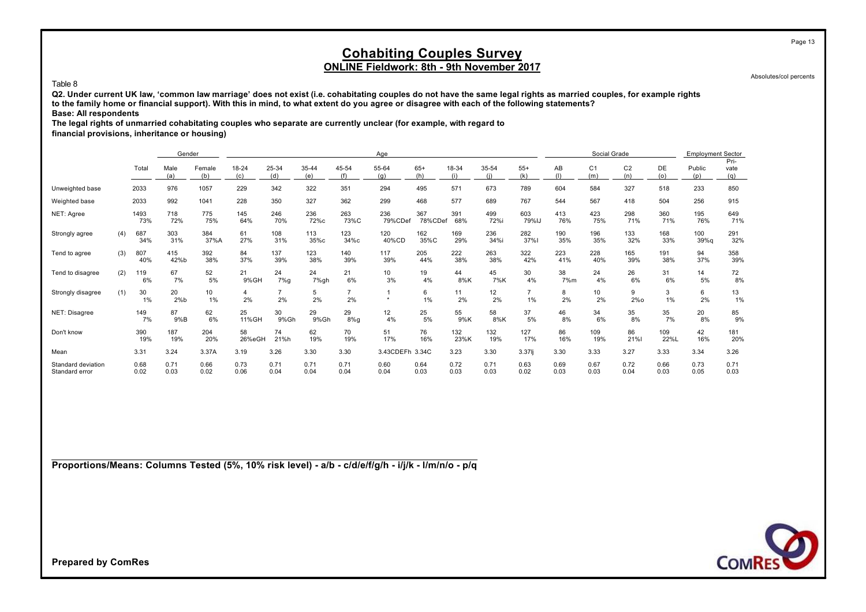Absolutes/col percents

Page 13

#### Table 8

**Q2. Under current UK law, 'common law marriage' does not exist (i.e. cohabitating couples do not have the same legal rights as married couples, for example rights to the family home or financial support). With this in mind, to what extent do you agree or disagree with each of the following statements? Base: All respondents**

**The legal rights of unmarried cohabitating couples who separate are currently unclear (for example, with regard to**

**financial provisions, inheritance or housing)**

|                                      |     |              | Gender       |               |                      |               |              |                      | Age             |                |              |              |              |              | Social Grade          |                       |              | <b>Employment Sector</b> |                     |
|--------------------------------------|-----|--------------|--------------|---------------|----------------------|---------------|--------------|----------------------|-----------------|----------------|--------------|--------------|--------------|--------------|-----------------------|-----------------------|--------------|--------------------------|---------------------|
|                                      |     | Total        | Male<br>(a)  | Female<br>(b) | 18-24<br>(c)         | 25-34<br>(d)  | 35-44<br>(e) | 45-54<br>(f)         | 55-64<br>(q)    | $65+$<br>(h)   | 18-34<br>(i) | 35-54<br>(i) | $55+$<br>(k) | AB<br>(1)    | C <sub>1</sub><br>(m) | C <sub>2</sub><br>(n) | DE<br>(0)    | Public<br>(p)            | Pri-<br>vate<br>(q) |
| Unweighted base                      |     | 2033         | 976          | 1057          | 229                  | 342           | 322          | 351                  | 294             | 495            | 571          | 673          | 789          | 604          | 584                   | 327                   | 518          | 233                      | 850                 |
| Weighted base                        |     | 2033         | 992          | 1041          | 228                  | 350           | 327          | 362                  | 299             | 468            | 577          | 689          | 767          | 544          | 567                   | 418                   | 504          | 256                      | 915                 |
| NET: Agree                           |     | 1493<br>73%  | 718<br>72%   | 775<br>75%    | 145<br>64%           | 246<br>70%    | 236<br>72%c  | 263<br>73%C          | 236<br>79%CDef  | 367<br>78%CDef | 391<br>68%   | 499<br>72%i  | 603<br>79%IJ | 413<br>76%   | 423<br>75%            | 298<br>71%            | 360<br>71%   | 195<br>76%               | 649<br>71%          |
| Strongly agree                       | (4) | 687<br>34%   | 303<br>31%   | 384<br>37%A   | 61<br>27%            | 108<br>31%    | 113<br>35%с  | 123<br>34%с          | 120<br>40%CD    | 162<br>35%C    | 169<br>29%   | 236<br>34%i  | 282<br>37%   | 190<br>35%   | 196<br>35%            | 133<br>32%            | 168<br>33%   | 100<br>39%g              | 291<br>32%          |
| Tend to agree                        | (3) | 807<br>40%   | 415<br>42%b  | 392<br>38%    | 84<br>37%            | 137<br>39%    | 123<br>38%   | 140<br>39%           | 117<br>39%      | 205<br>44%     | 222<br>38%   | 263<br>38%   | 322<br>42%   | 223<br>41%   | 228<br>40%            | 165<br>39%            | 191<br>38%   | 94<br>37%                | 358<br>39%          |
| Tend to disagree                     | (2) | 119<br>6%    | 67<br>7%     | 52<br>5%      | 21<br>9%GH           | 24<br>$7\%$ g | 24<br>7%gh   | 21<br>6%             | 10<br>3%        | 19<br>4%       | 44<br>8%K    | 45<br>7%K    | 30<br>4%     | 38<br>7%m    | 24<br>4%              | 26<br>6%              | 31<br>6%     | 14<br>5%                 | 72<br>8%            |
| Strongly disagree                    | (1) | 30<br>$1\%$  | 20<br>2%b    | 10<br>1%      | $\overline{4}$<br>2% | 2%            | 5<br>2%      | $\overline{7}$<br>2% | $\star$         | 6<br>1%        | 11<br>2%     | 12<br>2%     | 1%           | 8<br>2%      | 10<br>2%              | 9<br>$2\%$ o          | 3<br>1%      | 6<br>2%                  | 13<br>1%            |
| NET: Disagree                        |     | 149<br>7%    | 87<br>9%B    | 62<br>6%      | 25<br>11%GH          | 30<br>9%Gh    | 29<br>9%Gh   | 29<br>$8\%$ g        | 12<br>4%        | 25<br>5%       | 55<br>9%K    | 58<br>8%K    | 37<br>5%     | 46<br>8%     | 34<br>6%              | 35<br>8%              | 35<br>7%     | 20<br>8%                 | 85<br>9%            |
| Don't know                           |     | 390<br>19%   | 187<br>19%   | 204<br>20%    | 58<br>26%eGH         | 74<br>21%h    | 62<br>19%    | 70<br>19%            | 51<br>17%       | 76<br>16%      | 132<br>23%K  | 132<br>19%   | 127<br>17%   | 86<br>16%    | 109<br>19%            | 86<br>21%             | 109<br>22%L  | 42<br>16%                | 181<br>20%          |
| Mean                                 |     | 3.31         | 3.24         | 3.37A         | 3.19                 | 3.26          | 3.30         | 3.30                 | 3.43CDEFh 3.34C |                | 3.23         | 3.30         | $3.37$ lj    | 3.30         | 3.33                  | 3.27                  | 3.33         | 3.34                     | 3.26                |
| Standard deviation<br>Standard error |     | 0.68<br>0.02 | 0.71<br>0.03 | 0.66<br>0.02  | 0.73<br>0.06         | 0.71<br>0.04  | 0.71<br>0.04 | 0.71<br>0.04         | 0.60<br>0.04    | 0.64<br>0.03   | 0.72<br>0.03 | 0.71<br>0.03 | 0.63<br>0.02 | 0.69<br>0.03 | 0.67<br>0.03          | 0.72<br>0.04          | 0.66<br>0.03 | 0.73<br>0.05             | 0.71<br>0.03        |

**Proportions/Means: Columns Tested (5%, 10% risk level) - a/b - c/d/e/f/g/h - i/j/k - l/m/n/o - p/q**

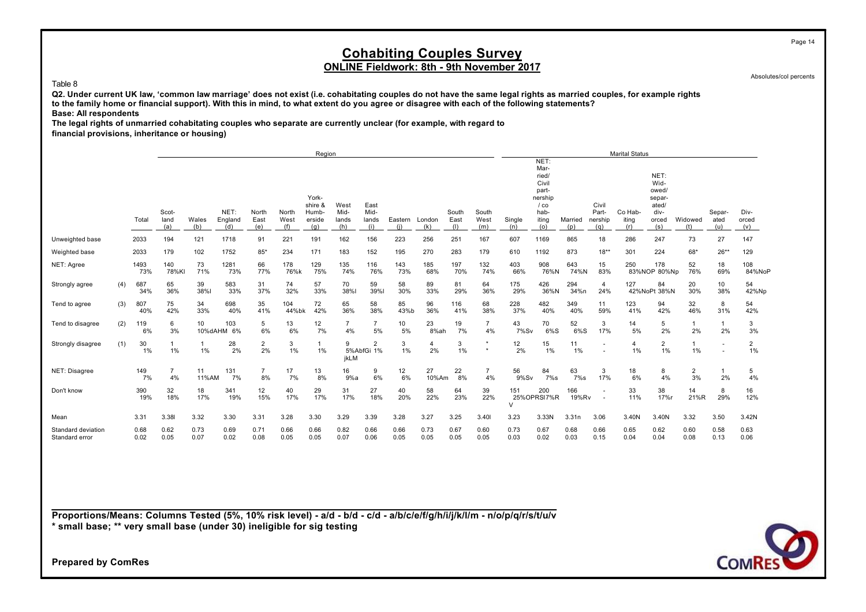### **Cohabiting Couples Survey ONLINE Fieldwork: 8th - 9th November 2017**

Absolutes/col percents

#### Table 8

**Q2. Under current UK law, 'common law marriage' does not exist (i.e. cohabitating couples do not have the same legal rights as married couples, for example rights to the family home or financial support). With this in mind, to what extent do you agree or disagree with each of the following statements? Base: All respondents**

**The legal rights of unmarried cohabitating couples who separate are currently unclear (for example, with regard to financial provisions, inheritance or housing)**

|                                      |     |              |                      |                    |                        |                      |                      | Region                                     |                              |                              |                |               |                      |                      |               |                                                                                      |                |                                            | <b>Marital Status</b>   |                                                                  |                      |                         |                      |
|--------------------------------------|-----|--------------|----------------------|--------------------|------------------------|----------------------|----------------------|--------------------------------------------|------------------------------|------------------------------|----------------|---------------|----------------------|----------------------|---------------|--------------------------------------------------------------------------------------|----------------|--------------------------------------------|-------------------------|------------------------------------------------------------------|----------------------|-------------------------|----------------------|
|                                      |     | Total        | Scot-<br>land<br>(a) | Wales<br>(b)       | NET:<br>England<br>(d) | North<br>East<br>(e) | North<br>West<br>(f) | York-<br>shire &<br>Humb-<br>erside<br>(q) | West<br>Mid-<br>lands<br>(h) | East<br>Mid-<br>lands<br>(i) | Eastern<br>(i) | London<br>(k) | South<br>East<br>(1) | South<br>West<br>(m) | Single<br>(n) | NET:<br>Mar-<br>ried/<br>Civil<br>part-<br>nership<br>$/$ co<br>hab-<br>iting<br>(o) | Married<br>(p) | Civil<br>Part-<br>nership<br>(q)           | Co Hab-<br>iting<br>(r) | NET:<br>Wid-<br>owed/<br>separ-<br>ated/<br>div-<br>orced<br>(s) | Widowed<br>(t)       | Separ-<br>ated<br>(u)   | Div-<br>orced<br>(v) |
| Unweighted base                      |     | 2033         | 194                  | 121                | 1718                   | 91                   | 221                  | 191                                        | 162                          | 156                          | 223            | 256           | 251                  | 167                  | 607           | 1169                                                                                 | 865            | 18                                         | 286                     | 247                                                              | 73                   | 27                      | 147                  |
| Weighted base                        |     | 2033         | 179                  | 102                | 1752                   | $85*$                | 234                  | 171                                        | 183                          | 152                          | 195            | 270           | 283                  | 179                  | 610           | 1192                                                                                 | 873            | $18***$                                    | 301                     | 224                                                              | 68*                  | $26**$                  | 129                  |
| NET: Agree                           |     | 1493<br>73%  | 140<br>78%KI         | 73<br>71%          | 1281<br>73%            | 66<br>77%            | 178<br>76%k          | 129<br>75%                                 | 135<br>74%                   | 116<br>76%                   | 143<br>73%     | 185<br>68%    | 197<br>70%           | 132<br>74%           | 403<br>66%    | 908<br>76%N                                                                          | 643<br>74%N    | 15<br>83%                                  | 250                     | 178<br>83%NOP 80%Np                                              | 52<br>76%            | 18<br>69%               | 108<br>84%NoP        |
| Strongly agree                       | (4) | 687<br>34%   | 65<br>36%            | 39<br>38%          | 583<br>33%             | 31<br>37%            | 74<br>32%            | 57<br>33%                                  | 70<br>38%l                   | 59<br>39%                    | 58<br>30%      | 89<br>33%     | 81<br>29%            | 64<br>36%            | 175<br>29%    | 426<br>36%N                                                                          | 294<br>34%n    | $\overline{4}$<br>24%                      | 127                     | 84<br>42%NoPt 38%N                                               | 20<br>30%            | 10 <sup>10</sup><br>38% | 54<br>42%Np          |
| Tend to agree                        | (3) | 807<br>40%   | 75<br>42%            | 34<br>33%          | 698<br>40%             | 35<br>41%            | 104<br>44%bk         | 72<br>42%                                  | 65<br>36%                    | 58<br>38%                    | 85<br>43%b     | 96<br>36%     | 116<br>41%           | 68<br>38%            | 228<br>37%    | 482<br>40%                                                                           | 349<br>40%     | 11<br>59%                                  | 123<br>41%              | 94<br>42%                                                        | 32<br>46%            | 8<br>31%                | 54<br>42%            |
| Tend to disagree                     | (2) | 119<br>6%    | 6<br>3%              | 10                 | 103<br>10%dAHM 6%      | 5<br>6%              | 13<br>6%             | 12<br>7%                                   | $\overline{7}$<br>4%         | $\overline{7}$<br>5%         | 10<br>5%       | 23<br>8%ah    | 19<br>7%             | $\overline{7}$<br>4% | 43<br>7%Sv    | 70<br>$6\%S$                                                                         | 52<br>$6\%S$   | 3<br>17%                                   | 14<br>5%                | 5<br>2%                                                          | 2%                   | 2%                      | 3<br>3%              |
| Strongly disagree                    | (1) | 30<br>1%     | $\mathbf{1}$<br>1%   | $\mathbf{1}$<br>1% | 28<br>2%               | $\overline{2}$<br>2% | 3<br>1%              | $\overline{1}$<br>1%                       | 9<br>jkLM                    | 2<br>5%AbfGi 1%              | 3<br>1%        | 4<br>2%       | 3<br>1%              | $\star$              | 12<br>2%      | 15<br>1%                                                                             | 11<br>1%       | $\overline{\phantom{a}}$<br>$\blacksquare$ | $\overline{4}$<br>1%    | $\overline{2}$<br>1%                                             | 1%                   |                         | $\overline{2}$<br>1% |
| NET: Disagree                        |     | 149<br>7%    | $\overline{7}$<br>4% | 11<br>11%AM        | 131<br>7%              | $\overline{7}$<br>8% | 17<br>7%             | 13<br>8%                                   | 16<br>9%a                    | 9<br>6%                      | 12<br>6%       | 27<br>10%Am   | 22<br>8%             | $\overline{7}$<br>4% | 56<br>9%Sv    | 84<br>$7\%$ s                                                                        | 63<br>$7\%s$   | 3<br>17%                                   | 18<br>6%                | 8<br>4%                                                          | $\overline{2}$<br>3% | 2%                      | 5<br>4%              |
| Don't know                           |     | 390<br>19%   | 32<br>18%            | 18<br>17%          | 341<br>19%             | 12<br>15%            | 40<br>17%            | 29<br>17%                                  | 31<br>17%                    | 27<br>18%                    | 40<br>20%      | 58<br>22%     | 64<br>23%            | 39<br>22%            | 151<br>$\vee$ | 200<br>25% OPRSI 7%R                                                                 | 166<br>19%Rv   | $\overline{\phantom{a}}$                   | 33<br>11%               | 38<br>17%r                                                       | 14<br>21%R           | 8<br>29%                | 16<br>12%            |
| Mean                                 |     | 3.31         | 3.38                 | 3.32               | 3.30                   | 3.31                 | 3.28                 | 3.30                                       | 3.29                         | 3.39                         | 3.28           | 3.27          | 3.25                 | 3.40                 | 3.23          | 3.33N                                                                                | 3.31n          | 3.06                                       | 3.40N                   | 3.40N                                                            | 3.32                 | 3.50                    | 3.42N                |
| Standard deviation<br>Standard error |     | 0.68<br>0.02 | 0.62<br>0.05         | 0.73<br>0.07       | 0.69<br>0.02           | 0.71<br>0.08         | 0.66<br>0.05         | 0.66<br>0.05                               | 0.82<br>0.07                 | 0.66<br>0.06                 | 0.66<br>0.05   | 0.73<br>0.05  | 0.67<br>0.05         | 0.60<br>0.05         | 0.73<br>0.03  | 0.67<br>0.02                                                                         | 0.68<br>0.03   | 0.66<br>0.15                               | 0.65<br>0.04            | 0.62<br>0.04                                                     | 0.60<br>0.08         | 0.58<br>0.13            | 0.63<br>0.06         |

**Proportions/Means: Columns Tested (5%, 10% risk level) - a/d - b/d - c/d - a/b/c/e/f/g/h/i/j/k/l/m - n/o/p/q/r/s/t/u/v \* small base; \*\* very small base (under 30) ineligible for sig testing**

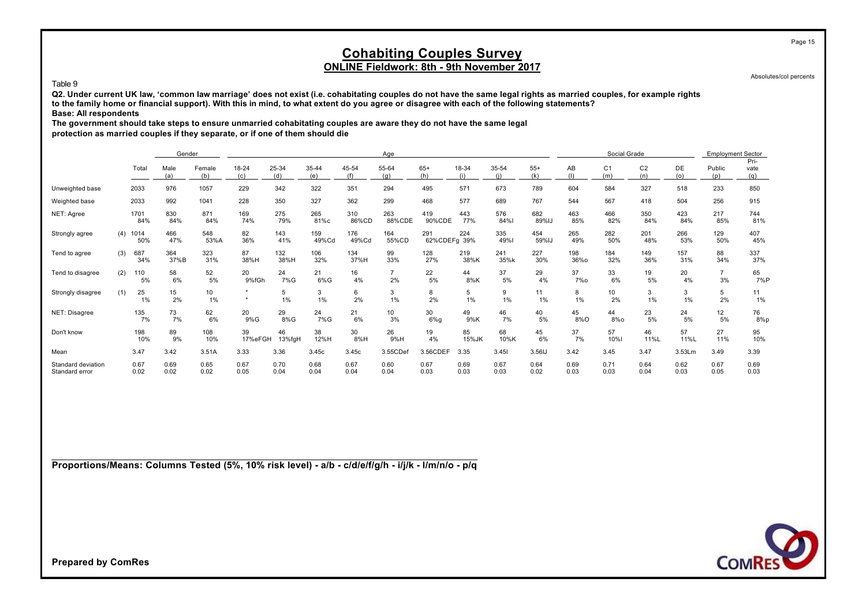Absolutes/col percents

Page 15

#### Table 9

**Q2. Under current UK law, 'common law marriage' does not exist (i.e. cohabitating couples do not have the same legal rights as married couples, for example rights to the family home or financial support). With this in mind, to what extent do you agree or disagree with each of the following statements? Base: All respondents**

**The government should take steps to ensure unmarried cohabitating couples are aware they do not have the same legal**

**protection as married couples if they separate, or if one of them should die**

|                                      |     |              | Gender       |               |               |              |              |              | Age                  |                     |              |              |              |              | Social Grade          |                       |              | <b>Employment Sector</b> |                     |
|--------------------------------------|-----|--------------|--------------|---------------|---------------|--------------|--------------|--------------|----------------------|---------------------|--------------|--------------|--------------|--------------|-----------------------|-----------------------|--------------|--------------------------|---------------------|
|                                      |     | Total        | Male<br>(a)  | Female<br>(b) | 18-24<br>(c)  | 25-34<br>(d) | 35-44<br>(e) | 45-54<br>(f) | 55-64<br>(q)         | $65+$<br>(h)        | 18-34<br>(i) | 35-54        | $55+$<br>(k) | AB<br>(1)    | C <sub>1</sub><br>(m) | C <sub>2</sub><br>(n) | DE<br>(o)    | Public<br>(p)            | Pri-<br>vate<br>(q) |
| Unweighted base                      |     | 2033         | 976          | 1057          | 229           | 342          | 322          | 351          | 294                  | 495                 | 571          | 673          | 789          | 604          | 584                   | 327                   | 518          | 233                      | 850                 |
| Weighted base                        |     | 2033         | 992          | 1041          | 228           | 350          | 327          | 362          | 299                  | 468                 | 577          | 689          | 767          | 544          | 567                   | 418                   | 504          | 256                      | 915                 |
| NET: Agree                           |     | 1701<br>84%  | 830<br>84%   | 871<br>84%    | 169<br>74%    | 275<br>79%   | 265<br>81%c  | 310<br>86%CD | 263<br>88%CDE        | 419<br>90%CDE       | 443<br>77%   | 576<br>84%   | 682<br>89%IJ | 463<br>85%   | 466<br>82%            | 350<br>84%            | 423<br>84%   | 217<br>85%               | 744<br>81%          |
| Strongly agree                       | (4) | 1014<br>50%  | 466<br>47%   | 548<br>53%A   | 82<br>36%     | 143<br>41%   | 159<br>49%Cd | 176<br>49%Cd | 164<br>55%CD         | 291<br>62%CDEFg 39% | 224          | 335<br>49%   | 454<br>59%IJ | 265<br>49%   | 282<br>50%            | 201<br>48%            | 266<br>53%   | 129<br>50%               | 407<br>45%          |
| Tend to agree                        | (3) | 687<br>34%   | 364<br>37%B  | 323<br>31%    | 87<br>38%H    | 132<br>38%H  | 106<br>32%   | 134<br>37%H  | 99<br>33%            | 128<br>27%          | 219<br>38%K  | 241<br>35%k  | 227<br>30%   | 198<br>36%o  | 184<br>32%            | 149<br>36%            | 157<br>31%   | 88<br>34%                | 337<br>37%          |
| Tend to disagree                     | (2) | 110<br>5%    | 58<br>6%     | 52<br>5%      | 20<br>9%fGh   | 24<br>7%G    | 21<br>6%G    | 16<br>4%     | $\overline{7}$<br>2% | 22<br>5%            | 44<br>8%K    | 37<br>5%     | 29<br>4%     | 37<br>7%o    | 33<br>6%              | 19<br>5%              | 20<br>4%     | $\overline{7}$<br>3%     | 65<br>7%P           |
| Strongly disagree                    | (1) | 25<br>$1\%$  | 15<br>2%     | 10<br>1%      | $\star$       | 5<br>1%      | 3<br>1%      | 6<br>2%      | 3<br>1%              | 8<br>2%             | 5<br>1%      | 9<br>1%      | 11<br>1%     | 8<br>1%      | 10<br>2%              | 3<br>1%               | 3<br>1%      | 5<br>2%                  | 11<br>1%            |
| NET: Disagree                        |     | 135<br>7%    | 73<br>7%     | 62<br>6%      | 20<br>9%G     | 29<br>8%G    | 24<br>7%G    | 21<br>6%     | 10<br>3%             | 30<br>$6\%g$        | 49<br>9%K    | 46<br>7%     | 40<br>5%     | 45<br>8%O    | 44<br>$8%$ o          | 23<br>5%              | 24<br>5%     | 12<br>5%                 | 76<br>$8\%p$        |
| Don't know                           |     | 198<br>10%   | 89<br>9%     | 108<br>10%    | 39<br>17%eFGH | 46<br>13%fgH | 38<br>12%H   | 30<br>8%H    | 26<br>9%H            | 19<br>4%            | 85<br>15%JK  | 68<br>10%K   | 45<br>6%     | 37<br>7%     | 57<br><b>10%l</b>     | 46<br>11%L            | 57<br>11%L   | 27<br>11%                | 95<br>10%           |
| Mean                                 |     | 3.47         | 3.42         | 3.51A         | 3.33          | 3.36         | 3.45c        | 3.45c        | 3.55CDef             | 3.56CDEF            | 3.35         | 3.451        | 3.56IJ       | 3.42         | 3.45                  | 3.47                  | 3.53Lm       | 3.49                     | 3.39                |
| Standard deviation<br>Standard error |     | 0.67<br>0.02 | 0.69<br>0.02 | 0.65<br>0.02  | 0.67<br>0.05  | 0.70<br>0.04 | 0.68<br>0.04 | 0.67<br>0.04 | 0.60<br>0.04         | 0.67<br>0.03        | 0.69<br>0.03 | 0.67<br>0.03 | 0.64<br>0.02 | 0.69<br>0.03 | 0.71<br>0.03          | 0.64<br>0.04          | 0.62<br>0.03 | 0.67<br>0.05             | 0.69<br>0.03        |

**Proportions/Means: Columns Tested (5%, 10% risk level) - a/b - c/d/e/f/g/h - i/j/k - l/m/n/o - p/q**

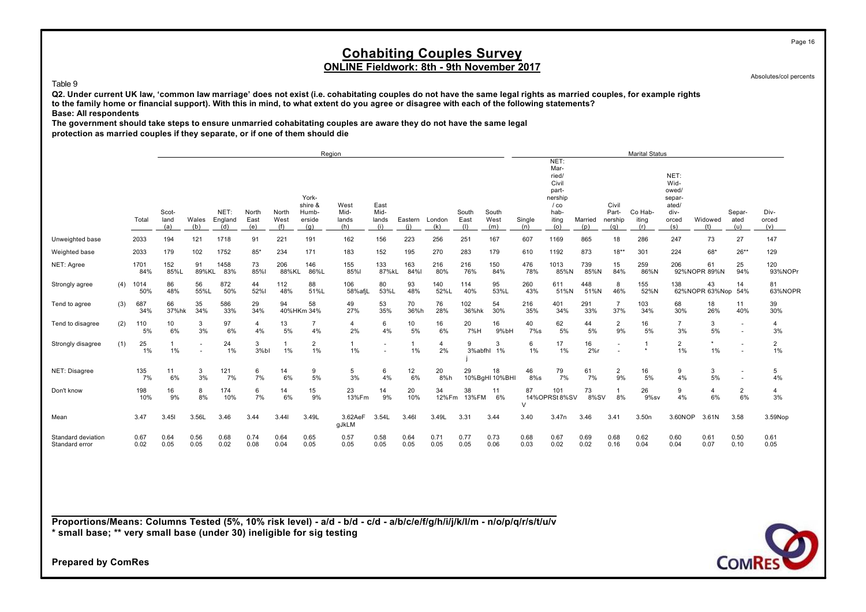### **Cohabiting Couples Survey ONLINE Fieldwork: 8th - 9th November 2017**

Absolutes/col percents

#### Table 9

**Q2. Under current UK law, 'common law marriage' does not exist (i.e. cohabitating couples do not have the same legal rights as married couples, for example rights to the family home or financial support). With this in mind, to what extent do you agree or disagree with each of the following statements? Base: All respondents**

**The government should take steps to ensure unmarried cohabitating couples are aware they do not have the same legal**

**protection as married couples if they separate, or if one of them should die**

|                                      |     |              |                      |                                    |                        |                      |                      |                                            | Region                       |                              |                |                      |                      |                      |               |                                                                                      |                |                                  | <b>Marital Status</b>   |                                                                  |                      |                       |                         |
|--------------------------------------|-----|--------------|----------------------|------------------------------------|------------------------|----------------------|----------------------|--------------------------------------------|------------------------------|------------------------------|----------------|----------------------|----------------------|----------------------|---------------|--------------------------------------------------------------------------------------|----------------|----------------------------------|-------------------------|------------------------------------------------------------------|----------------------|-----------------------|-------------------------|
|                                      |     | Total        | Scot-<br>land<br>(a) | Wales<br>(b)                       | NET:<br>England<br>(d) | North<br>East<br>(e) | North<br>West<br>(f) | York-<br>shire &<br>Humb-<br>erside<br>(g) | West<br>Mid-<br>lands<br>(h) | East<br>Mid-<br>lands<br>(i) | Eastern<br>(i) | London<br>(k)        | South<br>East<br>(1) | South<br>West<br>(m) | Single<br>(n) | NET:<br>Mar-<br>ried/<br>Civil<br>part-<br>nership<br>$/$ co<br>hab-<br>iting<br>(o) | Married<br>(p) | Civil<br>Part-<br>nership<br>(q) | Co Hab-<br>iting<br>(r) | NET:<br>Wid-<br>owed/<br>separ-<br>ated/<br>div-<br>orced<br>(s) | Widowed<br>(t)       | Separ-<br>ated<br>(u) | Div-<br>orced<br>(v)    |
| Unweighted base                      |     | 2033         | 194                  | 121                                | 1718                   | 91                   | 221                  | 191                                        | 162                          | 156                          | 223            | 256                  | 251                  | 167                  | 607           | 1169                                                                                 | 865            | 18                               | 286                     | 247                                                              | 73                   | 27                    | 147                     |
| Weighted base                        |     | 2033         | 179                  | 102                                | 1752                   | $85*$                | 234                  | 171                                        | 183                          | 152                          | 195            | 270                  | 283                  | 179                  | 610           | 1192                                                                                 | 873            | $18***$                          | 301                     | 224                                                              | $68*$                | $26**$                | 129                     |
| NET: Agree                           |     | 1701<br>84%  | 152<br>85%L          | 91<br>89%KL                        | 1458<br>83%            | 73<br>85%l           | 206<br>88%KL         | 146<br>86%L                                | 155<br>85%                   | 133<br>87%kL                 | 163<br>84%     | 216<br>80%           | 216<br>76%           | 150<br>84%           | 476<br>78%    | 1013<br>85%N                                                                         | 739<br>85%N    | 15<br>84%                        | 259<br>86%N             | 206                                                              | 61<br>92%NOPR 89%N   | 25<br>94%             | 120<br>93%NOPr          |
| Strongly agree                       | (4) | 1014<br>50%  | 86<br>48%            | 56<br>55%L                         | 872<br>50%             | 44<br>52%l           | 112<br>48%           | 88<br>51%L                                 | 106<br>58%afjL               | 80<br>53%L                   | 93<br>48%      | 140<br>52%L          | 114<br>40%           | 95<br>53%L           | 260<br>43%    | 611<br>51%N                                                                          | 448<br>51%N    | 8<br>46%                         | 155<br>52%N             | 138                                                              | 43<br>62%NOPR 63%Nop | 14<br>54%             | 81<br>63%NOPR           |
| Tend to agree                        | (3) | 687<br>34%   | 66<br>37%hk          | 35<br>34%                          | 586<br>33%             | 29<br>34%            | 94                   | 58<br>40%HKm 34%                           | 49<br>27%                    | 53<br>35%                    | 70<br>36%h     | 76<br>28%            | 102<br>36%hk         | 54<br>30%            | 216<br>35%    | 401<br>34%                                                                           | 291<br>33%     | $\overline{7}$<br>37%            | 103<br>34%              | 68<br>30%                                                        | 18<br>26%            | 11<br>40%             | 39<br>30%               |
| Tend to disagree                     | (2) | 110<br>5%    | 10<br>6%             | 3<br>3%                            | 97<br>6%               | 4<br>4%              | 13<br>5%             | $\overline{7}$<br>4%                       | 4<br>2%                      | 6<br>4%                      | 10<br>5%       | 16<br>6%             | 20<br>7%H            | 16<br>9%bH           | 40<br>$7\%s$  | 62<br>5%                                                                             | 44<br>5%       | $\overline{\mathbf{c}}$<br>9%    | 16<br>5%                | 3%                                                               | 3<br>5%              |                       | 4<br>3%                 |
| Strongly disagree                    | (1) | 25<br>1%     | $1\%$                | $\sim$<br>$\overline{\phantom{a}}$ | 24<br>$1\%$            | 3<br>3%bl            | 1%                   | $\overline{2}$<br>1%                       | $1\%$                        | ٠                            | 1%             | $\overline{4}$<br>2% | 9                    | 3<br>3%abfhl 1%      | 6<br>1%       | 17<br>1%                                                                             | 16<br>2%r      |                                  | -1<br>$\star$           | $\overline{2}$<br>1%                                             | $\star$<br>$1\%$     |                       | $\overline{2}$<br>$1\%$ |
| NET: Disagree                        |     | 135<br>7%    | 11<br>6%             | 3<br>3%                            | 121<br>7%              | 6<br>7%              | 14<br>6%             | 9<br>5%                                    | 5<br>3%                      | 6<br>4%                      | 12<br>6%       | 20<br>8%h            | 29                   | 18<br>10%BgHI 10%BHI | 46<br>$8\%$ s | 79<br>7%                                                                             | 61<br>7%       | $\overline{2}$<br>9%             | 16<br>5%                | 9<br>4%                                                          | 3<br>5%              |                       | 5<br>4%                 |
| Don't know                           |     | 198<br>10%   | 16<br>9%             | 8<br>8%                            | 174<br>10%             | 6<br>7%              | 14<br>6%             | 15<br>9%                                   | 23<br>13%Fm                  | 14<br>9%                     | 20<br>10%      | 34                   | 38<br>12%Fm 13%FM    | 11<br>6%             | 87            | 101<br>14%OPRSt8%SV                                                                  | 73<br>8%SV     | 8%                               | 26<br>9%sv              | 9<br>4%                                                          | $\overline{4}$<br>6% | 2<br>6%               | 4<br>3%                 |
| Mean                                 |     | 3.47         | 3.451                | 3.56L                              | 3.46                   | 3.44                 | 3.441                | 3.49L                                      | 3.62AeF<br>gJkLM             | 3.54L                        | 3.46           | 3.49L                | 3.31                 | 3.44                 | 3.40          | 3.47n                                                                                | 3.46           | 3.41                             | 3.50 <sub>n</sub>       | 3.60NOP                                                          | 3.61N                | 3.58                  | 3.59Nop                 |
| Standard deviation<br>Standard error |     | 0.67<br>0.02 | 0.64<br>0.05         | 0.56<br>0.05                       | 0.68<br>0.02           | 0.74<br>0.08         | 0.64<br>0.04         | 0.65<br>0.05                               | 0.57<br>0.05                 | 0.58<br>0.05                 | 0.64<br>0.05   | 0.71<br>0.05         | 0.77<br>0.05         | 0.73<br>0.06         | 0.68<br>0.03  | 0.67<br>0.02                                                                         | 0.69<br>0.02   | 0.68<br>0.16                     | 0.62<br>0.04            | 0.60<br>0.04                                                     | 0.61<br>0.07         | 0.50<br>0.10          | 0.61<br>0.05            |

**Proportions/Means: Columns Tested (5%, 10% risk level) - a/d - b/d - c/d - a/b/c/e/f/g/h/i/j/k/l/m - n/o/p/q/r/s/t/u/v \* small base; \*\* very small base (under 30) ineligible for sig testing**

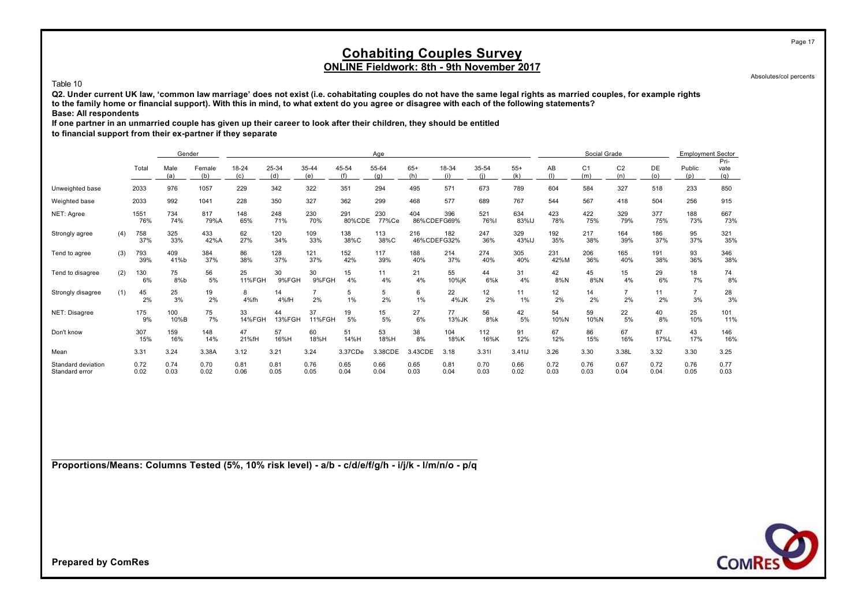Absolutes/col percents

Page 17

#### Table 10

**Q2. Under current UK law, 'common law marriage' does not exist (i.e. cohabitating couples do not have the same legal rights as married couples, for example rights to the family home or financial support). With this in mind, to what extent do you agree or disagree with each of the following statements? Base: All respondents**

**If one partner in an unmarried couple has given up their career to look after their children, they should be entitled**

**to financial support from their ex-partner if they separate**

|                                      |     |              | Gender       |               |                     |              |              |               | Age          |                    |              |              |              |              | Social Grade          |                       |              | <b>Employment Sector</b> |                     |
|--------------------------------------|-----|--------------|--------------|---------------|---------------------|--------------|--------------|---------------|--------------|--------------------|--------------|--------------|--------------|--------------|-----------------------|-----------------------|--------------|--------------------------|---------------------|
|                                      |     | Total        | Male<br>(a)  | Female<br>(b) | 18-24<br>(c)        | 25-34<br>(d) | 35-44<br>(e) | 45-54<br>(f)  | 55-64<br>(a) | $65+$<br>(h)       | 18-34<br>(i) | 35-54        | $55+$<br>(k) | AB<br>(1)    | C <sub>1</sub><br>(m) | C <sub>2</sub><br>(n) | DE<br>(0)    | Public<br>(p)            | Pri-<br>vate<br>(q) |
| Unweighted base                      |     | 2033         | 976          | 1057          | 229                 | 342          | 322          | 351           | 294          | 495                | 571          | 673          | 789          | 604          | 584                   | 327                   | 518          | 233                      | 850                 |
| Weighted base                        |     | 2033         | 992          | 1041          | 228                 | 350          | 327          | 362           | 299          | 468                | 577          | 689          | 767          | 544          | 567                   | 418                   | 504          | 256                      | 915                 |
| NET: Agree                           |     | 1551<br>76%  | 734<br>74%   | 817<br>79%A   | 148<br>65%          | 248<br>71%   | 230<br>70%   | 291<br>80%CDE | 230<br>77%Ce | 404<br>86%CDEFG69% | 396          | 521<br>76%   | 634<br>83%IJ | 423<br>78%   | 422<br>75%            | 329<br>79%            | 377<br>75%   | 188<br>73%               | 667<br>73%          |
| Strongly agree                       | (4) | 758<br>37%   | 325<br>33%   | 433<br>42%A   | 62<br>27%           | 120<br>34%   | 109<br>33%   | 138<br>38%C   | 113<br>38%C  | 216<br>46%CDEFG32% | 182          | 247<br>36%   | 329<br>43%IJ | 192<br>35%   | 217<br>38%            | 164<br>39%            | 186<br>37%   | 95<br>37%                | 321<br>35%          |
| Tend to agree                        | (3) | 793<br>39%   | 409<br>41%b  | 384<br>37%    | 86<br>38%           | 128<br>37%   | 121<br>37%   | 152<br>42%    | 117<br>39%   | 188<br>40%         | 214<br>37%   | 274<br>40%   | 305<br>40%   | 231<br>42%M  | 206<br>36%            | 165<br>40%            | 191<br>38%   | 93<br>36%                | 346<br>38%          |
| Tend to disagree                     | (2) | 130<br>6%    | 75<br>8%b    | 56<br>5%      | 25<br><b>11%FGH</b> | 30<br>9%FGH  | 30<br>9%FGH  | 15<br>4%      | 11<br>4%     | 21<br>4%           | 55<br>10%jK  | 44<br>6%k    | 31<br>4%     | 42<br>8%N    | 45<br>$8\%$ N         | 15<br>4%              | 29<br>6%     | 18<br>7%                 | 74<br>8%            |
| Strongly disagree                    | (1) | 45<br>2%     | 25<br>3%     | 19<br>2%      | 8<br>4%fh           | 14<br>4%fH   | 2%           | 5<br>1%       | 5<br>2%      | 6<br>1%            | 22<br>4%JK   | 12<br>2%     | 11<br>1%     | 12<br>2%     | 14<br>2%              | $\overline{7}$<br>2%  | 11<br>2%     | $\overline{7}$<br>3%     | 28<br>3%            |
| NET: Disagree                        |     | 175<br>9%    | 100<br>10%B  | 75<br>7%      | 33<br>14%FGH        | 44<br>13%FGH | 37<br>11%FGH | 19<br>5%      | 15<br>5%     | 27<br>6%           | 77<br>13%JK  | 56<br>8%k    | 42<br>5%     | 54<br>10%N   | 59<br>10%N            | 22<br>5%              | 40<br>8%     | 25<br>10%                | 101<br>11%          |
| Don't know                           |     | 307<br>15%   | 159<br>16%   | 148<br>14%    | 47<br>21%fH         | 57<br>16%H   | 60<br>18%H   | 51<br>14%H    | 53<br>18%H   | 38<br>8%           | 104<br>18%K  | 112<br>16%K  | 91<br>12%    | 67<br>12%    | 86<br>15%             | 67<br>16%             | 87<br>17%L   | 43<br>17%                | 146<br>16%          |
| Mean                                 |     | 3.31         | 3.24         | 3.38A         | 3.12                | 3.21         | 3.24         | 3.37CDe       | 3.38CDE      | 3.43CDE            | 3.18         | 3.311        | 3.41IJ       | 3.26         | 3.30                  | 3.38L                 | 3.32         | 3.30                     | 3.25                |
| Standard deviation<br>Standard error |     | 0.72<br>0.02 | 0.74<br>0.03 | 0.70<br>0.02  | 0.81<br>0.06        | 0.81<br>0.05 | 0.76<br>0.05 | 0.65<br>0.04  | 0.66<br>0.04 | 0.65<br>0.03       | 0.81<br>0.04 | 0.70<br>0.03 | 0.66<br>0.02 | 0.72<br>0.03 | 0.76<br>0.03          | 0.67<br>0.04          | 0.72<br>0.04 | 0.76<br>0.05             | 0.77<br>0.03        |

**Proportions/Means: Columns Tested (5%, 10% risk level) - a/b - c/d/e/f/g/h - i/j/k - l/m/n/o - p/q**

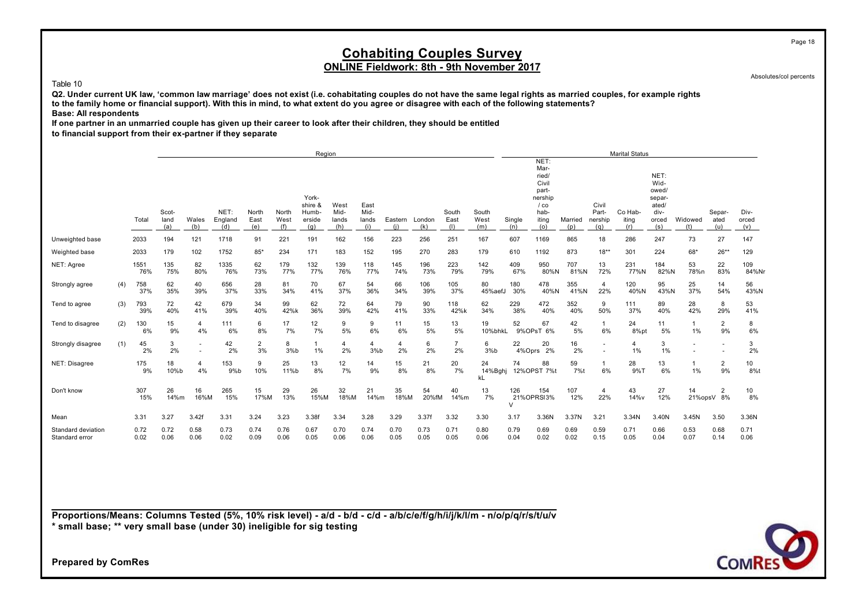### **Cohabiting Couples Survey ONLINE Fieldwork: 8th - 9th November 2017**

Absolutes/col percents

#### Table 10

**Q2. Under current UK law, 'common law marriage' does not exist (i.e. cohabitating couples do not have the same legal rights as married couples, for example rights to the family home or financial support). With this in mind, to what extent do you agree or disagree with each of the following statements? Base: All respondents**

**If one partner in an unmarried couple has given up their career to look after their children, they should be entitled**

**to financial support from their ex-partner if they separate**

|                                      |     |              |              |              |              |                      |              | Region             |              |              |              |              |                      |               |              |                 |              |                       | <b>Marital Status</b> |              |              |                      |                  |
|--------------------------------------|-----|--------------|--------------|--------------|--------------|----------------------|--------------|--------------------|--------------|--------------|--------------|--------------|----------------------|---------------|--------------|-----------------|--------------|-----------------------|-----------------------|--------------|--------------|----------------------|------------------|
|                                      |     |              |              |              |              |                      |              |                    |              |              |              |              |                      |               |              | NET:            |              |                       |                       |              |              |                      |                  |
|                                      |     |              |              |              |              |                      |              |                    |              |              |              |              |                      |               |              | Mar-            |              |                       |                       |              |              |                      |                  |
|                                      |     |              |              |              |              |                      |              |                    |              |              |              |              |                      |               |              | ried/           |              |                       |                       | NET:         |              |                      |                  |
|                                      |     |              |              |              |              |                      |              |                    |              |              |              |              |                      |               |              | Civil           |              |                       |                       | Wid-         |              |                      |                  |
|                                      |     |              |              |              |              |                      |              |                    |              |              |              |              |                      |               |              | part-           |              |                       |                       | owed/        |              |                      |                  |
|                                      |     |              |              |              |              |                      |              | York-              |              |              |              |              |                      |               |              | nership         |              |                       |                       | separ-       |              |                      |                  |
|                                      |     |              |              |              |              |                      |              | shire &            | West         | East         |              |              |                      |               |              | $/$ co          |              | Civil                 |                       | ated/        |              |                      |                  |
|                                      |     |              | Scot-        |              | NET:         | North                | North        | Humb-              | Mid-         | Mid-         |              |              | South                | South         |              | hab-            |              | Part-                 | Co Hab-               | div-         |              | Separ-               | Div-             |
|                                      |     | Total        | land         | Wales        | England      | East                 | West         | erside             | lands        | lands        | Eastern      | London       | East                 | West          | Single       | iting           | Married      | nership               | iting                 | orced        | Widowed      | ated                 | orced            |
|                                      |     |              | (a)          | (b)          | (d)          | (e)                  | (f)          | (q)                | (h)          | (i)          | (i)          | (k)          | (1)                  | (m)           | (n)          | (o)             | (p)          | (a)                   | (r)                   | (s)          | (1)          | (u)                  | (v)              |
| Unweighted base                      |     | 2033         | 194          | 121          | 1718         | 91                   | 221          | 191                | 162          | 156          | 223          | 256          | 251                  | 167           | 607          | 1169            | 865          | 18                    | 286                   | 247          | 73           | 27                   | 147              |
| Weighted base                        |     | 2033         | 179          | 102          | 1752         | $85*$                | 234          | 171                | 183          | 152          | 195          | 270          | 283                  | 179           | 610          | 1192            | 873          | $18**$                | 301                   | 224          | 68*          | $26**$               | 129              |
| NET: Agree                           |     | 1551         | 135          | 82           | 1335         | 62                   | 179          | 132                | 139          | 118          | 145          | 196          | 223                  | 142           | 409          | 950             | 707          | 13                    | 231                   | 184          | 53           | 22                   | 109              |
|                                      |     | 76%          | 75%          | 80%          | 76%          | 73%                  | 77%          | 77%                | 76%          | 77%          | 74%          | 73%          | 79%                  | 79%           | 67%          | 80%N            | 81%N         | 72%                   | 77%N                  | 82%N         | 78%n         | 83%                  | 84%Nr            |
| Strongly agree                       | (4) | 758<br>37%   | 62<br>35%    | 40<br>39%    | 656<br>37%   | 28<br>33%            | 81<br>34%    | 70<br>41%          | 67<br>37%    | 54<br>36%    | 66<br>34%    | 106<br>39%   | 105<br>37%           | 80<br>45%aefJ | 180<br>30%   | 478<br>40%N     | 355<br>41%N  | $\overline{4}$<br>22% | 120<br>40%N           | 95<br>43%N   | 25<br>37%    | 14<br>54%            | 56<br>43%N       |
|                                      |     |              |              |              |              |                      |              |                    |              |              |              |              |                      |               |              |                 |              |                       |                       |              |              |                      |                  |
| Tend to agree                        | (3) | 793          | 72           | 42           | 679          | 34                   | 99           | 62                 | 72           | 64           | 79           | 90           | 118                  | 62            | 229          | 472             | 352          | 9                     | 111                   | 89           | 28           | 8                    | 53               |
|                                      |     | 39%          | 40%          | 41%          | 39%          | 40%                  | 42%k         | 36%                | 39%          | 42%          | 41%          | 33%          | 42%k                 | 34%           | 38%          | 40%             | 40%          | 50%                   | 37%                   | 40%          | 42%          | 29%                  | 41%              |
| Tend to disagree                     | (2) | 130<br>6%    | 15<br>9%     | 4<br>4%      | 111<br>6%    | 6<br>8%              | 17<br>7%     | 12<br>7%           | 9<br>5%      | 9<br>6%      | 11<br>6%     | 15<br>5%     | 13<br>5%             | 19<br>10%bhkL | 52           | 67<br>9%OPsT 6% | 42<br>5%     | $\mathbf{1}$<br>6%    | 24<br>8%pt            | 11<br>5%     | 1%           | $\overline{2}$<br>9% | 8<br>6%          |
|                                      |     |              |              |              |              |                      |              |                    |              |              |              |              |                      |               |              |                 |              |                       |                       |              |              |                      |                  |
| Strongly disagree                    | (1) | 45<br>2%     | 3<br>2%      | ٠            | 42<br>2%     | $\overline{2}$<br>3% | 8<br>3%b     | $\mathbf{1}$<br>1% | 4<br>2%      | 4<br>3%b     | 4<br>2%      | 6<br>2%      | $\overline{7}$<br>2% | 6<br>3%b      | 22<br>4%Oprs | 20<br>2%        | 16<br>2%     |                       | $\overline{4}$<br>1%  | 3<br>1%      | ٠            | ٠                    | 3<br>2%          |
| NET: Disagree                        |     | 175          | 18           | 4            | 153          | 9                    | 25           | 13                 | 12           | 14           | 15           | 21           | 20                   | 24            | 74           | 88              | 59           | $\mathbf{1}$          | 28                    | 13           |              | $\overline{2}$       | 10 <sup>10</sup> |
|                                      |     | 9%           | 10%b         | 4%           | 9%b          | 10%                  | 11%b         | 8%                 | 7%           | 9%           | 8%           | 8%           | 7%                   | 14%Bghj<br>kL |              | 12%OPST 7%t     | 7%t          | 6%                    | 9%T                   | 6%           | 1%           | 9%                   | 8%t              |
| Don't know                           |     | 307          | 26           | 16           | 265          | 15                   | 29           | 26                 | 32           | 21           | 35           | 54           | 40                   | 13            | 126          | 154             | 107          | 4                     | 43                    | 27           | 14           | $\overline{2}$       | 10               |
|                                      |     | 15%          | 14%m         | 16%M         | 15%          | 17%M                 | 13%          | 15%M               | 18%M         | 14%m         | 18%M         | 20%fM        | 14%m                 | 7%            | $\vee$       | 21%OPRSI3%      | 12%          | 22%                   | 14%v                  | 12%          |              | 21%opsV 8%           | 8%               |
| Mean                                 |     | 3.31         | 3.27         | 3.42f        | 3.31         | 3.24                 | 3.23         | 3.38f              | 3.34         | 3.28         | 3.29         | 3.37f        | 3.32                 | 3.30          | 3.17         | 3.36N           | 3.37N        | 3.21                  | 3.34N                 | 3.40N        | 3.45N        | 3.50                 | 3.36N            |
|                                      |     |              |              |              |              |                      |              |                    |              |              |              |              |                      |               |              |                 |              |                       |                       |              |              |                      |                  |
| Standard deviation<br>Standard error |     | 0.72<br>0.02 | 0.72<br>0.06 | 0.58<br>0.06 | 0.73<br>0.02 | 0.74<br>0.09         | 0.76<br>0.06 | 0.67<br>0.05       | 0.70<br>0.06 | 0.74<br>0.06 | 0.70<br>0.05 | 0.73<br>0.05 | 0.71<br>0.05         | 0.80<br>0.06  | 0.79<br>0.04 | 0.69<br>0.02    | 0.69<br>0.02 | 0.59<br>0.15          | 0.71<br>0.05          | 0.66<br>0.04 | 0.53<br>0.07 | 0.68<br>0.14         | 0.71<br>0.06     |
|                                      |     |              |              |              |              |                      |              |                    |              |              |              |              |                      |               |              |                 |              |                       |                       |              |              |                      |                  |

**Proportions/Means: Columns Tested (5%, 10% risk level) - a/d - b/d - c/d - a/b/c/e/f/g/h/i/j/k/l/m - n/o/p/q/r/s/t/u/v \* small base; \*\* very small base (under 30) ineligible for sig testing**

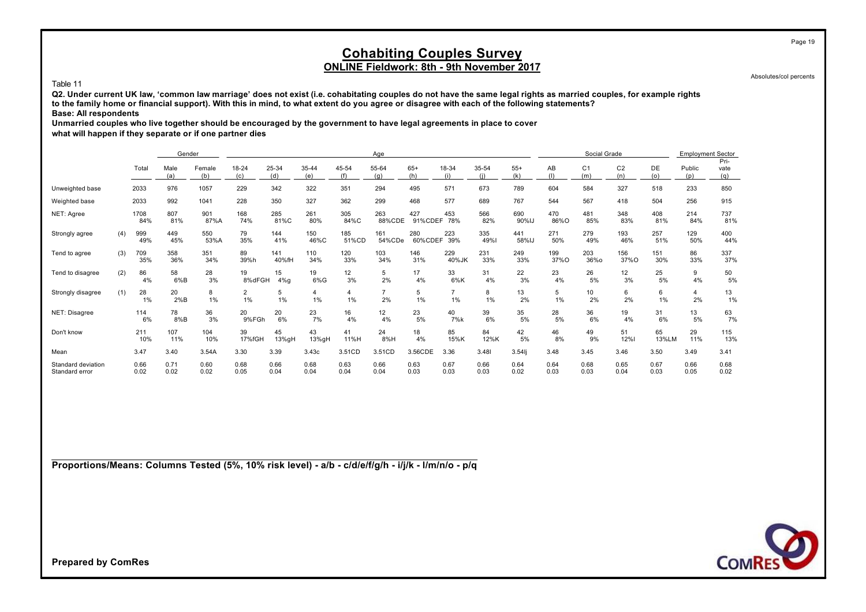Absolutes/col percents

Page 19

#### Table 11

**Q2. Under current UK law, 'common law marriage' does not exist (i.e. cohabitating couples do not have the same legal rights as married couples, for example rights to the family home or financial support). With this in mind, to what extent do you agree or disagree with each of the following statements? Base: All respondents**

**Unmarried couples who live together should be encouraged by the government to have legal agreements in place to cover**

**what will happen if they separate or if one partner dies**

|                                      |     |              | Gender       |               |                      |               |               |              | Age                  |                    |                      |              |              |              | Social Grade          |                       |              | <b>Employment Sector</b> |                     |
|--------------------------------------|-----|--------------|--------------|---------------|----------------------|---------------|---------------|--------------|----------------------|--------------------|----------------------|--------------|--------------|--------------|-----------------------|-----------------------|--------------|--------------------------|---------------------|
|                                      |     | Total        | Male<br>(a)  | Female<br>(b) | 18-24<br>(c)         | 25-34<br>(d)  | 35-44<br>(e)  | 45-54<br>(f) | 55-64<br>(a)         | $65+$<br>(h)       | 18-34<br>(i)         | 35-54        | $55+$<br>(k) | AB<br>(1)    | C <sub>1</sub><br>(m) | C <sub>2</sub><br>(n) | DE<br>(o)    | Public<br>(p)            | Pri-<br>vate<br>(g) |
| Unweighted base                      |     | 2033         | 976          | 1057          | 229                  | 342           | 322           | 351          | 294                  | 495                | 571                  | 673          | 789          | 604          | 584                   | 327                   | 518          | 233                      | 850                 |
| Weighted base                        |     | 2033         | 992          | 1041          | 228                  | 350           | 327           | 362          | 299                  | 468                | 577                  | 689          | 767          | 544          | 567                   | 418                   | 504          | 256                      | 915                 |
| NET: Agree                           |     | 1708<br>84%  | 807<br>81%   | 901<br>87%A   | 168<br>74%           | 285<br>81%C   | 261<br>80%    | 305<br>84%C  | 263<br>88%CDE        | 427<br>91%CDEF 78% | 453                  | 566<br>82%   | 690<br>90%IJ | 470<br>86%O  | 481<br>85%            | 348<br>83%            | 408<br>81%   | 214<br>84%               | 737<br>81%          |
| Strongly agree                       | (4) | 999<br>49%   | 449<br>45%   | 550<br>53%A   | 79<br>35%            | 144<br>41%    | 150<br>46%C   | 185<br>51%CD | 161<br>54%CDe        | 280<br>60%CDEF     | 223<br>39%           | 335<br>49%   | 441<br>58%IJ | 271<br>50%   | 279<br>49%            | 193<br>46%            | 257<br>51%   | 129<br>50%               | 400<br>44%          |
| Tend to agree                        | (3) | 709<br>35%   | 358<br>36%   | 351<br>34%    | 89<br>39%h           | 141<br>40%fH  | 110<br>34%    | 120<br>33%   | 103<br>34%           | 146<br>31%         | 229<br>40%JK         | 231<br>33%   | 249<br>33%   | 199<br>37%O  | 203<br>36%o           | 156<br>37%O           | 151<br>30%   | 86<br>33%                | 337<br>37%          |
| Tend to disagree                     | (2) | 86<br>4%     | 58<br>6%B    | 28<br>3%      | 19<br>8%dFGH         | 15<br>$4\%$ g | 19<br>$6\%$ G | 12<br>3%     | 5<br>2%              | 17<br>4%           | 33<br>6%K            | 31<br>4%     | 22<br>3%     | 23<br>4%     | 26<br>5%              | 12<br>3%              | 25<br>5%     | 9<br>4%                  | 50<br>5%            |
| Strongly disagree                    | (1) | 28<br>1%     | 20<br>$2\%B$ | 8<br>1%       | $\overline{2}$<br>1% | 5<br>1%       | 4<br>1%       | 4<br>1%      | $\overline{7}$<br>2% | 5<br>1%            | $\overline{7}$<br>1% | 8<br>1%      | 13<br>2%     | 5<br>1%      | 10<br>2%              | 6<br>2%               | 6<br>1%      | 4<br>2%                  | 13<br>1%            |
| NET: Disagree                        |     | 114<br>6%    | 78<br>8%B    | 36<br>3%      | 20<br>9%FGh          | 20<br>6%      | 23<br>7%      | 16<br>4%     | 12<br>4%             | 23<br>5%           | 40<br>7%k            | 39<br>6%     | 35<br>5%     | 28<br>5%     | 36<br>6%              | 19<br>4%              | 31<br>6%     | 13<br>5%                 | 63<br>7%            |
| Don't know                           |     | 211<br>10%   | 107<br>11%   | 104<br>10%    | 39<br>17%fGH         | 45<br>13%gH   | 43<br>13%gH   | 41<br>11%H   | 24<br>8%H            | 18<br>4%           | 85<br>15%K           | 84<br>12%K   | 42<br>5%     | 46<br>8%     | 49<br>9%              | 51<br>12%             | 65<br>13%LM  | 29<br>11%                | 115<br>13%          |
| Mean                                 |     | 3.47         | 3.40         | 3.54A         | 3.30                 | 3.39          | 3.43c         | 3.51CD       | 3.51CD               | 3.56CDE            | 3.36                 | 3.481        | $3.54$ lj    | 3.48         | 3.45                  | 3.46                  | 3.50         | 3.49                     | 3.41                |
| Standard deviation<br>Standard error |     | 0.66<br>0.02 | 0.71<br>0.02 | 0.60<br>0.02  | 0.68<br>0.05         | 0.66<br>0.04  | 0.68<br>0.04  | 0.63<br>0.04 | 0.66<br>0.04         | 0.63<br>0.03       | 0.67<br>0.03         | 0.66<br>0.03 | 0.64<br>0.02 | 0.64<br>0.03 | 0.68<br>0.03          | 0.65<br>0.04          | 0.67<br>0.03 | 0.66<br>0.05             | 0.68<br>0.02        |

**Proportions/Means: Columns Tested (5%, 10% risk level) - a/b - c/d/e/f/g/h - i/j/k - l/m/n/o - p/q**

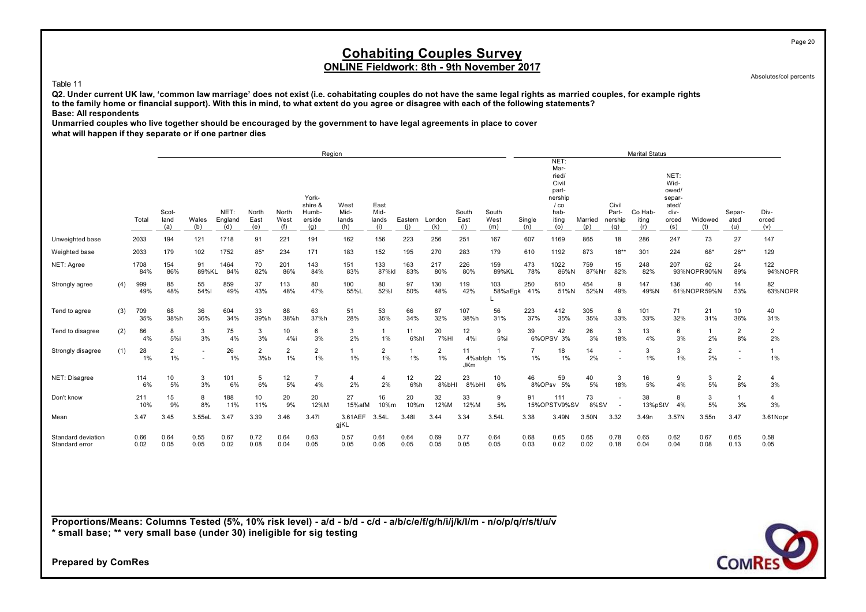### **Cohabiting Couples Survey ONLINE Fieldwork: 8th - 9th November 2017**

Absolutes/col percents

#### Table 11

**Q2. Under current UK law, 'common law marriage' does not exist (i.e. cohabitating couples do not have the same legal rights as married couples, for example rights to the family home or financial support). With this in mind, to what extent do you agree or disagree with each of the following statements? Base: All respondents**

**Unmarried couples who live together should be encouraged by the government to have legal agreements in place to cover what will happen if they separate or if one partner dies**

|                                      |     |              |                      |              |                        |                      |                      | Region                                     |                              |                              |                |                      |                      |                        |                         |                                                                                      |                |                                  | <b>Marital Status</b>   |                                                                  |                      |                       |                       |
|--------------------------------------|-----|--------------|----------------------|--------------|------------------------|----------------------|----------------------|--------------------------------------------|------------------------------|------------------------------|----------------|----------------------|----------------------|------------------------|-------------------------|--------------------------------------------------------------------------------------|----------------|----------------------------------|-------------------------|------------------------------------------------------------------|----------------------|-----------------------|-----------------------|
|                                      |     | Total        | Scot-<br>land<br>(a) | Wales<br>(b) | NET:<br>England<br>(d) | North<br>East<br>(e) | North<br>West<br>(f) | York-<br>shire &<br>Humb-<br>erside<br>(q) | West<br>Mid-<br>lands<br>(h) | East<br>Mid-<br>lands<br>(i) | Eastern<br>(i) | London<br>(k)        | South<br>East<br>(1) | South<br>West<br>(m)   | Single<br>(n)           | NET:<br>Mar-<br>ried/<br>Civil<br>part-<br>nership<br>$/$ co<br>hab-<br>iting<br>(o) | Married<br>(p) | Civil<br>Part-<br>nership<br>(a) | Co Hab-<br>iting<br>(r) | NET:<br>Wid-<br>owed/<br>separ-<br>ated/<br>div-<br>orced<br>(s) | Widowed<br>(1)       | Separ-<br>ated<br>(u) | Div-<br>orced<br>(v)  |
| Unweighted base                      |     | 2033         | 194                  | 121          | 1718                   | 91                   | 221                  | 191                                        | 162                          | 156                          | 223            | 256                  | 251                  | 167                    | 607                     | 1169                                                                                 | 865            | 18                               | 286                     | 247                                                              | 73                   | 27                    | 147                   |
| Weighted base                        |     | 2033         | 179                  | 102          | 1752                   | $85*$                | 234                  | 171                                        | 183                          | 152                          | 195            | 270                  | 283                  | 179                    | 610                     | 1192                                                                                 | 873            | $18**$                           | 301                     | 224                                                              | 68*                  | $26**$                | 129                   |
| NET: Agree                           |     | 1708<br>84%  | 154<br>86%           | 91<br>89%KL  | 1464<br>84%            | 70<br>82%            | 201<br>86%           | 143<br>84%                                 | 151<br>83%                   | 133<br>87%kl                 | 163<br>83%     | 217<br>80%           | 226<br>80%           | 159<br>89%KL           | 473<br>78%              | 1022<br>86%N                                                                         | 759<br>87%Nr   | 15<br>82%                        | 248<br>82%              | 207                                                              | 62<br>93%NOPR90%N    | 24<br>89%             | 122<br>94%NOPR        |
| Strongly agree                       | (4) | 999<br>49%   | 85<br>48%            | 55<br>54%l   | 859<br>49%             | 37<br>43%            | 113<br>48%           | 80<br>47%                                  | 100<br>55%L                  | 80<br>52%l                   | 97<br>50%      | 130<br>48%           | 119<br>42%           | 103                    | 250<br>58%aEgk 41%      | 610<br>51%N                                                                          | 454<br>52%N    | 9<br>49%                         | 147<br>49%N             | 136                                                              | 40<br>61%NOPR59%N    | 14<br>53%             | 82<br>63%NOPR         |
| Tend to agree                        | (3) | 709<br>35%   | 68<br>38%h           | 36<br>36%    | 604<br>34%             | 33<br>39%h           | 88<br>38%h           | 63<br>37%h                                 | 51<br>28%                    | 53<br>35%                    | 66<br>34%      | 87<br>32%            | 107<br>38%h          | 56<br>31%              | 223<br>37%              | 412<br>35%                                                                           | 305<br>35%     | 6<br>33%                         | 101<br>33%              | 71<br>32%                                                        | 21<br>31%            | 10<br>36%             | 40<br>31%             |
| Tend to disagree                     | (2) | 86<br>4%     | 8<br>5%i             | 3<br>3%      | 75<br>4%               | 3<br>3%              | 10<br>4%i            | 6<br>3%                                    | 3<br>2%                      | $\overline{1}$<br>1%         | 11<br>6%hl     | 20<br>7%HI           | 12<br>4%i            | 9<br>5%                | 39                      | 42<br>6%OPSV 3%                                                                      | 26<br>3%       | 3<br>18%                         | 13<br>4%                | 6<br>3%                                                          | $\mathbf{1}$<br>2%   | 2<br>8%               | $\overline{2}$<br>2%  |
| Strongly disagree                    | (1) | 28<br>1%     | $\overline{2}$<br>1% | ٠<br>۰       | 26<br>1%               | 2<br>3%b             | $\overline{2}$<br>1% | $\overline{2}$<br>1%                       | $\mathbf{1}$<br>$1\%$        | 2<br>1%                      | 1%             | $\overline{2}$<br>1% | 11<br><b>JKm</b>     | 4%abfgh 1%             | $\overline{7}$<br>$1\%$ | 18<br>1%                                                                             | 14<br>2%       |                                  | 3<br>1%                 | 3<br>1%                                                          | $\overline{c}$<br>2% |                       | $\mathbf{1}$<br>$1\%$ |
| NET: Disagree                        |     | 114<br>6%    | 10<br>5%             | 3<br>3%      | 101<br>6%              | 5<br>6%              | 12<br>5%             | 4%                                         | 4<br>2%                      | $\overline{4}$<br>2%         | 12<br>6%h      | 22<br>8%bHI          | 23<br>8%bHI          | 10 <sup>10</sup><br>6% | 46                      | 59<br>8%OPsv 5%                                                                      | 40<br>5%       | 3<br>18%                         | 16<br>5%                | 9<br>4%                                                          | $\frac{3}{5\%}$      | 2<br>8%               | $\overline{4}$<br>3%  |
| Don't know                           |     | 211<br>10%   | 15<br>9%             | 8<br>8%      | 188<br>11%             | 10<br>11%            | 20<br>9%             | 20<br>12%M                                 | 27<br>15%afM                 | 16<br>10%m                   | 20<br>10%m     | 32<br>12%M           | 33<br>12%M           | 9<br>5%                | 91                      | 111<br>15%OPSTV9%SV                                                                  | 73<br>8%SV     |                                  | 38<br>13%pStV           | 8<br>4%                                                          | 3<br>5%              | 3%                    | $\overline{4}$<br>3%  |
| Mean                                 |     | 3.47         | 3.45                 | 3.55eL       | 3.47                   | 3.39                 | 3.46                 | 3.471                                      | 3.61AEF<br>gjKL              | 3.54L                        | 3.48           | 3.44                 | 3.34                 | 3.54L                  | 3.38                    | 3.49N                                                                                | 3.50N          | 3.32                             | 3.49n                   | 3.57N                                                            | 3.55n                | 3.47                  | 3.61Nopr              |
| Standard deviation<br>Standard error |     | 0.66<br>0.02 | 0.64<br>0.05         | 0.55<br>0.05 | 0.67<br>0.02           | 0.72<br>0.08         | 0.64<br>0.04         | 0.63<br>0.05                               | 0.57<br>0.05                 | 0.61<br>0.05                 | 0.64<br>0.05   | 0.69<br>0.05         | 0.77<br>0.05         | 0.64<br>0.05           | 0.68<br>0.03            | 0.65<br>0.02                                                                         | 0.65<br>0.02   | 0.78<br>0.18                     | 0.65<br>0.04            | 0.62<br>0.04                                                     | 0.67<br>0.08         | 0.65<br>0.13          | 0.58<br>0.05          |

**Proportions/Means: Columns Tested (5%, 10% risk level) - a/d - b/d - c/d - a/b/c/e/f/g/h/i/j/k/l/m - n/o/p/q/r/s/t/u/v \* small base; \*\* very small base (under 30) ineligible for sig testing**

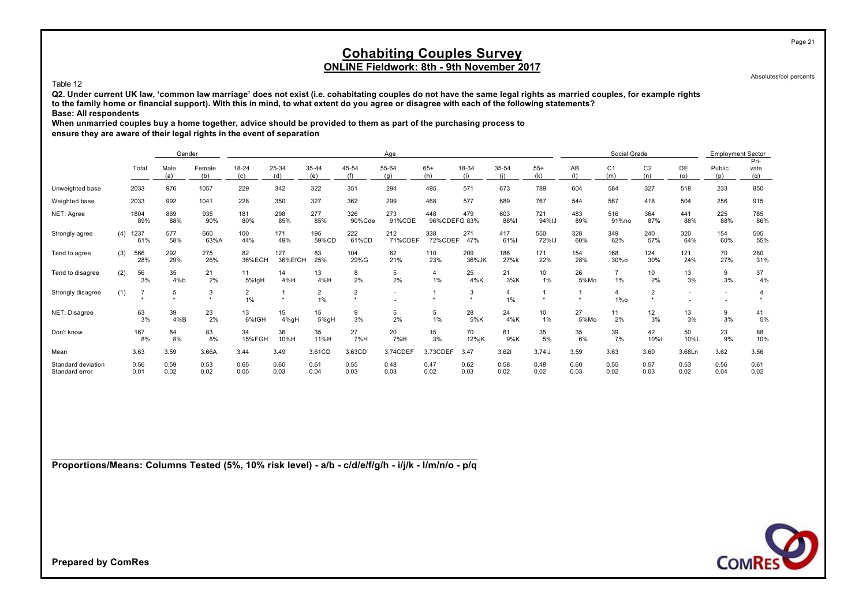Absolutes/col percents

Page 21

#### Table 12

**Q2. Under current UK law, 'common law marriage' does not exist (i.e. cohabitating couples do not have the same legal rights as married couples, for example rights to the family home or financial support). With this in mind, to what extent do you agree or disagree with each of the following statements? Base: All respondents**

**When unmarried couples buy a home together, advice should be provided to them as part of the purchasing process to**

**ensure they are aware of their legal rights in the event of separation**

|                                      |     |              | Gender       |               |                      |                |                      |                | Age            |                     |              |              |                        |              | Social Grade          |                           |              | <b>Employment Sector</b> |                     |
|--------------------------------------|-----|--------------|--------------|---------------|----------------------|----------------|----------------------|----------------|----------------|---------------------|--------------|--------------|------------------------|--------------|-----------------------|---------------------------|--------------|--------------------------|---------------------|
|                                      |     | Total        | Male<br>(a)  | Female<br>(b) | 18-24<br>(c)         | 25-34<br>(d)   | 35-44<br>(e)         | 45-54<br>(f)   | 55-64<br>(a)   | $65+$<br>(h)        | 18-34<br>(i) | 35-54<br>(i) | $55+$<br>(k)           | AB<br>(1)    | C <sub>1</sub><br>(m) | C <sub>2</sub><br>(n)     | DE<br>(o)    | Public<br>(p)            | Pri-<br>vate<br>(q) |
| Unweighted base                      |     | 2033         | 976          | 1057          | 229                  | 342            | 322                  | 351            | 294            | 495                 | 571          | 673          | 789                    | 604          | 584                   | 327                       | 518          | 233                      | 850                 |
| Weighted base                        |     | 2033         | 992          | 1041          | 228                  | 350            | 327                  | 362            | 299            | 468                 | 577          | 689          | 767                    | 544          | 567                   | 418                       | 504          | 256                      | 915                 |
| NET: Agree                           |     | 1804<br>89%  | 869<br>88%   | 935<br>90%    | 181<br>80%           | 298<br>85%     | 277<br>85%           | 326<br>90%Cde  | 273<br>91%CDE  | 448<br>96%CDEFG 83% | 479          | 603<br>88%   | 721<br>94%IJ           | 483<br>89%   | 516<br>91%no          | 364<br>87%                | 441<br>88%   | 225<br>88%               | 785<br>86%          |
| Strongly agree                       | (4) | 1237<br>61%  | 577<br>58%   | 660<br>63%A   | 100<br>44%           | 171<br>49%     | 195<br>59%CD         | 222<br>61%CD   | 212<br>71%CDEF | 338<br>72%CDEF      | 271<br>47%   | 417<br>61%   | 550<br>72%IJ           | 328<br>60%   | 349<br>62%            | 240<br>57%                | 320<br>64%   | 154<br>60%               | 505<br>55%          |
| Tend to agree                        | (3) | 566<br>28%   | 292<br>29%   | 275<br>26%    | 82<br>36%EGH         | 127<br>36%EfGH | 83<br>25%            | 104<br>29%G    | 62<br>21%      | 110<br>23%          | 209<br>36%JK | 186<br>27%k  | 171<br>22%             | 154<br>28%   | 168<br>30%o           | 124<br>30%                | 121<br>24%   | 70<br>27%                | 280<br>31%          |
| Tend to disagree                     | (2) | 56<br>3%     | 35<br>4%b    | 21<br>2%      | 11<br>5%fgH          | 14<br>4%H      | 13<br>4%H            | 8<br>2%        | 5<br>2%        | 4<br>1%             | 25<br>4%K    | 21<br>3%K    | 10 <sup>10</sup><br>1% | 26<br>5%Mo   | 1%                    | 10<br>2%                  | 13<br>3%     | 9<br>3%                  | 37<br>4%            |
| Strongly disagree                    | (1) |              | 5            | 3<br>٠        | $\overline{2}$<br>1% | $\star$        | $\overline{2}$<br>1% | $\overline{2}$ | ۰              |                     | 3<br>$\star$ | 4<br>1%      |                        |              | 4<br>$1\%$ o          | $\overline{2}$<br>$\star$ | $\sim$       | ۰                        |                     |
| NET: Disagree                        |     | 63<br>3%     | 39<br>4%B    | 23<br>2%      | 13<br>6%fGH          | 15<br>4%gH     | 15<br>5%gH           | 9<br>3%        | 5<br>2%        | 5<br>1%             | 28<br>5%K    | 24<br>4%K    | 10<br>1%               | 27<br>5%Mo   | 11<br>2%              | 12<br>3%                  | 13<br>3%     | 9<br>3%                  | 41<br>5%            |
| Don't know                           |     | 167<br>8%    | 84<br>8%     | 83<br>8%      | 34<br>15%FGH         | 36<br>10%H     | 35<br>11%H           | 27<br>7%H      | 20<br>7%H      | 15<br>3%            | 70<br>12%jK  | 61<br>9%K    | 35<br>5%               | 35<br>6%     | 39<br>7%              | 42<br>10%I                | 50<br>10%L   | 23<br>9%                 | 88<br>10%           |
| Mean                                 |     | 3.63         | 3.59         | 3.66A         | 3.44                 | 3.49           | 3.61CD               | 3.63CD         | 3.74CDEF       | 3.73CDEF            | 3.47         | 3.621        | 3.74IJ                 | 3.59         | 3.63                  | 3.60                      | 3.68Ln       | 3.62                     | 3.56                |
| Standard deviation<br>Standard error |     | 0.56<br>0.01 | 0.59<br>0.02 | 0.53<br>0.02  | 0.65<br>0.05         | 0.60<br>0.03   | 0.61<br>0.04         | 0.55<br>0.03   | 0.48<br>0.03   | 0.47<br>0.02        | 0.62<br>0.03 | 0.58<br>0.02 | 0.48<br>0.02           | 0.60<br>0.03 | 0.55<br>0.02          | 0.57<br>0.03              | 0.53<br>0.02 | 0.56<br>0.04             | 0.61<br>0.02        |

**Proportions/Means: Columns Tested (5%, 10% risk level) - a/b - c/d/e/f/g/h - i/j/k - l/m/n/o - p/q**